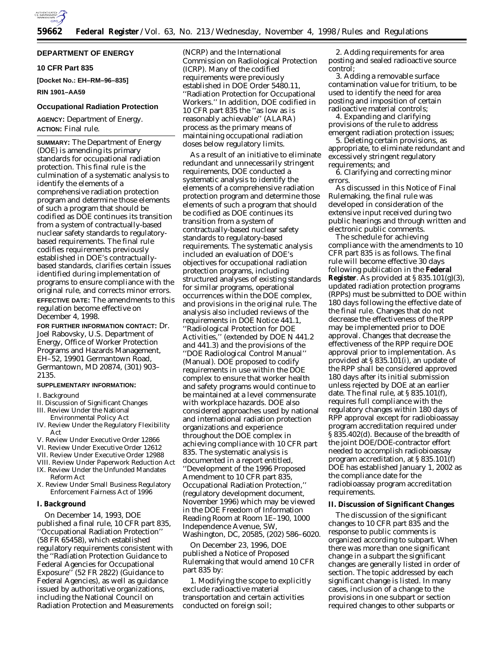

# **DEPARTMENT OF ENERGY**

# **10 CFR Part 835**

**[Docket No.: EH–RM–96–835] RIN 1901–AA59**

# **Occupational Radiation Protection**

# **AGENCY:** Department of Energy. **ACTION:** Final rule.

**SUMMARY:** The Department of Energy (DOE) is amending its primary standards for occupational radiation protection. This final rule is the culmination of a systematic analysis to identify the elements of a comprehensive radiation protection program and determine those elements of such a program that should be codified as DOE continues its transition from a system of contractually-based nuclear safety standards to regulatorybased requirements. The final rule codifies requirements previously established in DOE's contractuallybased standards, clarifies certain issues identified during implementation of programs to ensure compliance with the original rule, and corrects minor errors. **EFFECTIVE DATE:** The amendments to this regulation become effective on December 4, 1998.

**FOR FURTHER INFORMATION CONTACT:** Dr. Joel Rabovsky, U.S. Department of Energy, Office of Worker Protection Programs and Hazards Management, EH–52, 19901 Germantown Road, Germantown, MD 20874, (301) 903– 2135.

# **SUPPLEMENTARY INFORMATION:**

#### I. Background

- II. Discussion of Significant Changes III. Review Under the National
- Environmental Policy Act
- IV. Review Under the Regulatory Flexibility Act
- V. Review Under Executive Order 12866
- VI. Review Under Executive Order 12612
- VII. Review Under Executive Order 12988
- VIII. Review Under Paperwork Reduction Act IX. Review Under the Unfunded Mandates
- Reform Act X. Review Under Small Business Regulatory Enforcement Fairness Act of 1996

# **I. Background**

On December 14, 1993, DOE published a final rule, 10 CFR part 835, ''Occupational Radiation Protection'' (58 FR 65458), which established regulatory requirements consistent with the ''Radiation Protection Guidance to Federal Agencies for Occupational Exposure'' (52 FR 2822) (Guidance to Federal Agencies), as well as guidance issued by authoritative organizations, including the National Council on Radiation Protection and Measurements (NCRP) and the International Commission on Radiological Protection (ICRP). Many of the codified requirements were previously established in DOE Order 5480.11, ''Radiation Protection for Occupational Workers.'' In addition, DOE codified in 10 CFR part 835 the ''as low as is reasonably achievable'' (ALARA) process as the primary means of maintaining occupational radiation doses below regulatory limits.

As a result of an initiative to eliminate redundant and unnecessarily stringent requirements, DOE conducted a systematic analysis to identify the elements of a comprehensive radiation protection program and determine those elements of such a program that should be codified as DOE continues its transition from a system of contractually-based nuclear safety standards to regulatory-based requirements. The systematic analysis included an evaluation of DOE's objectives for occupational radiation protection programs, including structured analyses of existing standards for similar programs, operational occurrences within the DOE complex, and provisions in the original rule. The analysis also included reviews of the requirements in DOE Notice 441.1, ''Radiological Protection for DOE Activities,'' (extended by DOE N 441.2 and 441.3) and the provisions of the ''DOE Radiological Control Manual'' (Manual). DOE proposed to codify requirements in use within the DOE complex to ensure that worker health and safety programs would continue to be maintained at a level commensurate with workplace hazards. DOE also considered approaches used by national and international radiation protection organizations and experience throughout the DOE complex in achieving compliance with 10 CFR part 835. The systematic analysis is documented in a report entitled, ''Development of the 1996 Proposed Amendment to 10 CFR part 835, Occupational Radiation Protection,'' (regulatory development document, November 1996) which may be viewed in the DOE Freedom of Information Reading Room at Room 1E–190, 1000 Independence Avenue, SW, Washington, DC, 20585, (202) 586–6020.

On December 23, 1996, DOE published a Notice of Proposed Rulemaking that would amend 10 CFR part 835 by:

1. Modifying the scope to explicitly exclude radioactive material transportation and certain activities conducted on foreign soil;

2. Adding requirements for area posting and sealed radioactive source control;

3. Adding a removable surface contamination value for tritium, to be used to identify the need for area posting and imposition of certain radioactive material controls;

4. Expanding and clarifying provisions of the rule to address emergent radiation protection issues;

5. Deleting certain provisions, as appropriate, to eliminate redundant and excessively stringent regulatory requirements; and

6. Clarifying and correcting minor errors.

As discussed in this Notice of Final Rulemaking, the final rule was developed in consideration of the extensive input received during two public hearings and through written and electronic public comments.

The schedule for achieving compliance with the amendments to 10 CFR part 835 is as follows. The final rule will become effective 30 days following publication in the **Federal Register**. As provided at § 835.101(g)(3), updated radiation protection programs (RPPs) must be submitted to DOE within 180 days following the effective date of the final rule. Changes that do not decrease the effectiveness of the RPP may be implemented prior to DOE approval. Changes that decrease the effectiveness of the RPP require DOE approval prior to implementation. As provided at § 835.101(i), an update of the RPP shall be considered approved 180 days after its initial submission unless rejected by DOE at an earlier date. The final rule, at § 835.101(f), requires full compliance with the regulatory changes within 180 days of RPP approval except for radiobioassay program accreditation required under § 835.402(d). Because of the breadth of the joint DOE/DOE-contractor effort needed to accomplish radiobioassay program accreditation, at § 835.101(f) DOE has established January 1, 2002 as the compliance date for the radiobioassay program accreditation requirements.

### **II. Discussion of Significant Changes**

The discussion of the significant changes to 10 CFR part 835 and the response to public comments is organized according to subpart. When there was more than one significant change in a subpart the significant changes are generally listed in order of section. The topic addressed by each significant change is listed. In many cases, inclusion of a change to the provisions in one subpart or section required changes to other subparts or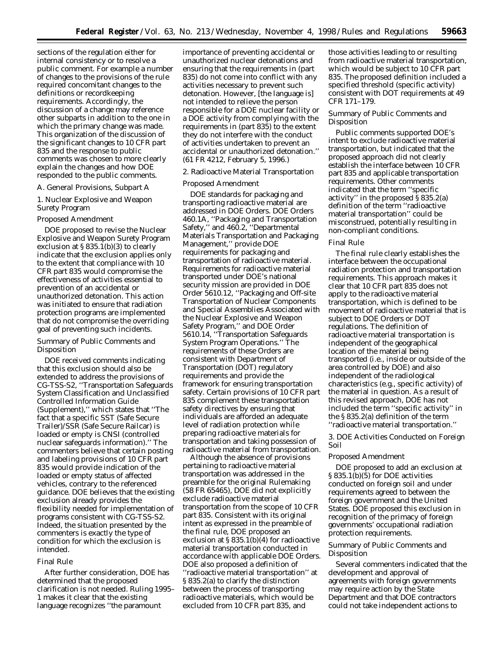sections of the regulation either for internal consistency or to resolve a public comment. For example a number of changes to the provisions of the rule required concomitant changes to the definitions or recordkeeping requirements. Accordingly, the discussion of a change may reference other subparts in addition to the one in which the primary change was made. This organization of the discussion of the significant changes to 10 CFR part 835 and the response to public comments was chosen to more clearly explain the changes and how DOE responded to the public comments.

### *A. General Provisions, Subpart A*

# 1. Nuclear Explosive and Weapon Surety Program

# Proposed Amendment

DOE proposed to revise the Nuclear Explosive and Weapon Surety Program exclusion at § 835.1(b)(3) to clearly indicate that the exclusion applies only to the extent that compliance with 10 CFR part 835 would compromise the effectiveness of activities essential to prevention of an accidental or unauthorized detonation. This action was initiated to ensure that radiation protection programs are implemented that do not compromise the overriding goal of preventing such incidents.

# Summary of Public Comments and Disposition

DOE received comments indicating that this exclusion should also be extended to address the provisions of CG-TSS-S2, ''Transportation Safeguards System Classification and Unclassified Controlled Information Guide (Supplement),'' which states that ''The fact that a specific SST (Safe Secure Trailer)/SSR (Safe Secure Railcar) is loaded or empty is CNSI (controlled nuclear safeguards information).'' The commenters believe that certain posting and labeling provisions of 10 CFR part 835 would provide indication of the loaded or empty status of affected vehicles, contrary to the referenced guidance. DOE believes that the existing exclusion already provides the flexibility needed for implementation of programs consistent with CG-TSS-S2. Indeed, the situation presented by the commenters is exactly the type of condition for which the exclusion is intended.

# Final Rule

After further consideration, DOE has determined that the proposed clarification is not needed. Ruling 1995– 1 makes it clear that the existing language recognizes ''the paramount

importance of preventing accidental or unauthorized nuclear detonations and ensuring that the requirements in (part 835) do not come into conflict with any activities necessary to prevent such detonation. However, [the language is] not intended to relieve the person responsible for a DOE nuclear facility or a DOE activity from complying with the requirements in (part 835) to the extent they do not interfere with the conduct of activities undertaken to prevent an accidental or unauthorized detonation.'' (61 FR 4212, February 5, 1996.)

# 2. Radioactive Material Transportation

#### Proposed Amendment

DOE standards for packaging and transporting radioactive material are addressed in DOE Orders. DOE Orders 460.1A, ''Packaging and Transportation Safety,'' and 460.2, ''Departmental Materials Transportation and Packaging Management,'' provide DOE requirements for packaging and transportation of radioactive material. Requirements for radioactive material transported under DOE's national security mission are provided in DOE Order 5610.12, ''Packaging and Off-site Transportation of Nuclear Components and Special Assemblies Associated with the Nuclear Explosive and Weapon Safety Program,'' and DOE Order 5610.14, ''Transportation Safeguards System Program Operations.'' The requirements of these Orders are consistent with Department of Transportation (DOT) regulatory requirements and provide the framework for ensuring transportation safety. Certain provisions of 10 CFR part 835 complement these transportation safety directives by ensuring that individuals are afforded an adequate level of radiation protection while preparing radioactive materials for transportation and taking possession of radioactive material from transportation.

Although the absence of provisions pertaining to radioactive material transportation was addressed in the preamble for the original Rulemaking (58 FR 65465), DOE did not explicitly exclude radioactive material transportation from the scope of 10 CFR part 835. Consistent with its original intent as expressed in the preamble of the final rule, DOE proposed an exclusion at § 835.1(b)(4) for radioactive material transportation conducted in accordance with applicable DOE Orders. DOE also proposed a definition of ''radioactive material transportation'' at § 835.2(a) to clarify the distinction between the process of transporting radioactive materials, which would be excluded from 10 CFR part 835, and

those activities leading to or resulting from radioactive material transportation, which would be subject to 10 CFR part 835. The proposed definition included a specified threshold (specific activity) consistent with DOT requirements at 49 CFR 171–179.

# Summary of Public Comments and Disposition

Public comments supported DOE's intent to exclude radioactive material transportation, but indicated that the proposed approach did not clearly establish the interface between 10 CFR part 835 and applicable transportation requirements. Other comments indicated that the term ''specific activity" in the proposed  $\S 835.2(a)$ definition of the term ''radioactive material transportation'' could be misconstrued, potentially resulting in non-compliant conditions.

#### Final Rule

The final rule clearly establishes the interface between the occupational radiation protection and transportation requirements. This approach makes it clear that 10 CFR part 835 does not apply to the radioactive material transportation, which is defined to be movement of radioactive material that is subject to DOE Orders or DOT regulations. The definition of radioactive material transportation is independent of the geographical location of the material being transported (i.e., inside or outside of the area controlled by DOE) and also independent of the radiological characteristics (e.g., specific activity) of the material in question. As a result of this revised approach, DOE has not included the term ''specific activity'' in the § 835.2(a) definition of the term ''radioactive material transportation.''

3. DOE Activities Conducted on Foreign Soil

### Proposed Amendment

DOE proposed to add an exclusion at  $\S 835.1(b)(5)$  for DOE activities conducted on foreign soil and under requirements agreed to between the foreign government and the United States. DOE proposed this exclusion in recognition of the primacy of foreign governments' occupational radiation protection requirements.

# Summary of Public Comments and Disposition

Several commenters indicated that the development and approval of agreements with foreign governments may require action by the State Department and that DOE contractors could not take independent actions to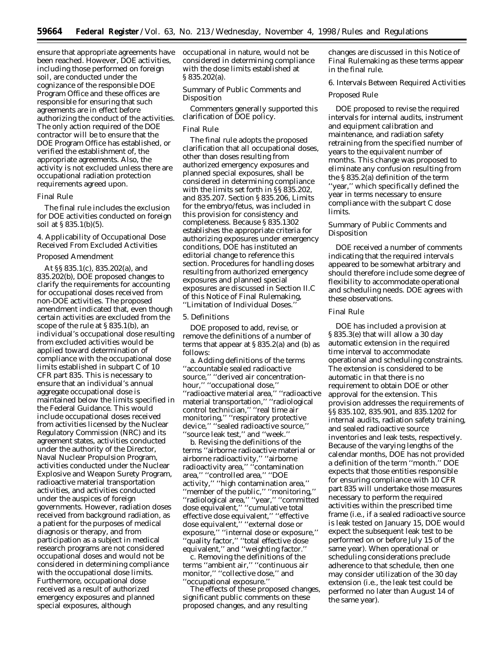ensure that appropriate agreements have been reached. However, DOE activities, including those performed on foreign soil, are conducted under the cognizance of the responsible DOE Program Office and these offices are responsible for ensuring that such agreements are in effect before authorizing the conduct of the activities. The only action required of the DOE contractor will be to ensure that the DOE Program Office has established, or verified the establishment of, the appropriate agreements. Also, the activity is not excluded unless there are occupational radiation protection requirements agreed upon.

#### Final Rule

The final rule includes the exclusion for DOE activities conducted on foreign soil at § 835.1(b)(5).

4. Applicability of Occupational Dose Received From Excluded Activities

# Proposed Amendment

At §§ 835.1(c), 835.202(a), and 835.202(b), DOE proposed changes to clarify the requirements for accounting for occupational doses received from non-DOE activities. The proposed amendment indicated that, even though certain activities are excluded from the scope of the rule at § 835.1(b), an individual's occupational dose resulting from excluded activities would be applied toward determination of compliance with the occupational dose limits established in subpart C of 10 CFR part 835. This is necessary to ensure that an individual's annual aggregate occupational dose is maintained below the limits specified in the Federal Guidance. This would include occupational doses received from activities licensed by the Nuclear Regulatory Commission (NRC) and its agreement states, activities conducted under the authority of the Director, Naval Nuclear Propulsion Program, activities conducted under the Nuclear Explosive and Weapon Surety Program, radioactive material transportation activities, and activities conducted under the auspices of foreign governments. However, radiation doses received from background radiation, as a patient for the purposes of medical diagnosis or therapy, and from participation as a subject in medical research programs are not considered occupational doses and would not be considered in determining compliance with the occupational dose limits. Furthermore, occupational dose received as a result of authorized emergency exposures and planned special exposures, although

occupational in nature, would not be considered in determining compliance with the dose limits established at § 835.202(a).

Summary of Public Comments and Disposition

Commenters generally supported this clarification of DOE policy.

# Final Rule

The final rule adopts the proposed clarification that all occupational doses, other than doses resulting from authorized emergency exposures and planned special exposures, shall be considered in determining compliance with the limits set forth in §§ 835.202, and 835.207. Section § 835.206, Limits for the embryo/fetus, was included in this provision for consistency and completeness. Because § 835.1302 establishes the appropriate criteria for authorizing exposures under emergency conditions, DOE has instituted an editorial change to reference this section. Procedures for handling doses resulting from authorized emergency exposures and planned special exposures are discussed in Section II.C of this Notice of Final Rulemaking, ''Limitation of Individual Doses.''

# 5. Definitions

DOE proposed to add, revise, or remove the definitions of a number of terms that appear at  $\S 835.2(a)$  and (b) as follows:

a. Adding definitions of the terms ''accountable sealed radioactive source,'' ''derived air concentrationhour,'' ''occupational dose,'' ''radioactive material area,'' ''radioactive material transportation,'' ''radiological control technician,'' ''real time air monitoring,'' ''respiratory protective device,'' ''sealed radioactive source,'' 'source leak test," and "week."

b. Revising the definitions of the terms ''airborne radioactive material or airborne radioactivity,'' ''airborne radioactivity area,'' ''contamination area,'' ''controlled area,'' ''DOE activity,'' ''high contamination area,'' ''member of the public,'' ''monitoring,'' ''radiological area,'' ''year,'' ''committed dose equivalent,'' ''cumulative total effective dose equivalent,'' ''effective dose equivalent,'' ''external dose or exposure,'' ''internal dose or exposure,'' ''quality factor,'' ''total effective dose equivalent,'' and ''weighting factor.''

c. Removing the definitions of the terms ''ambient air,'' ''continuous air monitor," "collective dose," and ''occupational exposure.''

The effects of these proposed changes, significant public comments on these proposed changes, and any resulting

changes are discussed in this Notice of Final Rulemaking as these terms appear in the final rule.

6. Intervals Between Required Activities

# Proposed Rule

DOE proposed to revise the required intervals for internal audits, instrument and equipment calibration and maintenance, and radiation safety retraining from the specified number of years to the equivalent number of months. This change was proposed to eliminate any confusion resulting from the § 835.2(a) definition of the term ''year,'' which specifically defined the year in terms necessary to ensure compliance with the subpart C dose limits.

# Summary of Public Comments and Disposition

DOE received a number of comments indicating that the required intervals appeared to be somewhat arbitrary and should therefore include some degree of flexibility to accommodate operational and scheduling needs. DOE agrees with these observations.

# Final Rule

DOE has included a provision at § 835.3(e) that will allow a 30 day automatic extension in the required time interval to accommodate operational and scheduling constraints. The extension is considered to be automatic in that there is no requirement to obtain DOE or other approval for the extension. This provision addresses the requirements of §§ 835.102, 835.901, and 835.1202 for internal audits, radiation safety training, and sealed radioactive source inventories and leak tests, respectively. Because of the varying lengths of the calendar months, DOE has not provided a definition of the term ''month.'' DOE expects that those entities responsible for ensuring compliance with 10 CFR part 835 will undertake those measures necessary to perform the required activities within the prescribed time frame (i.e., if a sealed radioactive source is leak tested on January 15, DOE would expect the subsequent leak test to be performed on or before July 15 of the same year). When operational or scheduling considerations preclude adherence to that schedule, then one may consider utilization of the 30 day extension (i.e., the leak test could be performed no later than August 14 of the same year).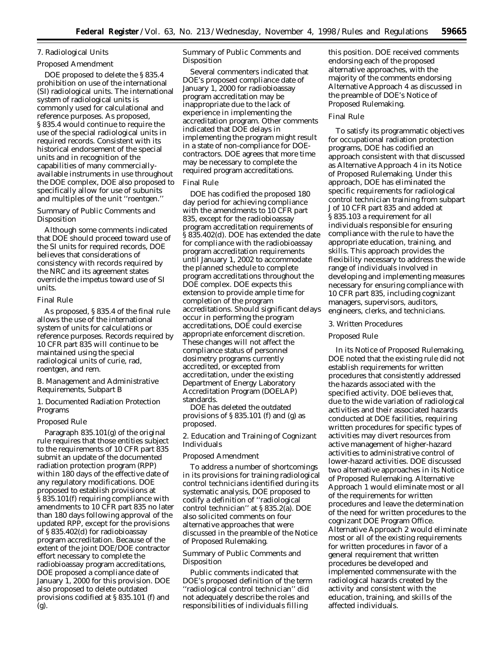# 7. Radiological Units

Proposed Amendment

DOE proposed to delete the § 835.4 prohibition on use of the international (SI) radiological units. The international system of radiological units is commonly used for calculational and reference purposes. As proposed, § 835.4 would continue to require the use of the special radiological units in required records. Consistent with its historical endorsement of the special units and in recognition of the capabilities of many commerciallyavailable instruments in use throughout the DOE complex, DOE also proposed to specifically allow for use of subunits and multiples of the unit ''roentgen.''

Summary of Public Comments and Disposition

Although some comments indicated that DOE should proceed toward use of the SI units for required records, DOE believes that considerations of consistency with records required by the NRC and its agreement states override the impetus toward use of SI units.

#### Final Rule

As proposed, § 835.4 of the final rule allows the use of the international system of units for calculations or reference purposes. Records required by 10 CFR part 835 will continue to be maintained using the special radiological units of curie, rad, roentgen, and rem.

### *B. Management and Administrative Requirements, Subpart B*

1. Documented Radiation Protection Programs

### Proposed Rule

Paragraph 835.101(g) of the original rule requires that those entities subject to the requirements of 10 CFR part 835 submit an update of the documented radiation protection program (RPP) within 180 days of the effective date of any regulatory modifications. DOE proposed to establish provisions at § 835.101(f) requiring compliance with amendments to 10 CFR part 835 no later than 180 days following approval of the updated RPP, except for the provisions of § 835.402(d) for radiobioassay program accreditation. Because of the extent of the joint DOE/DOE contractor effort necessary to complete the radiobioassay program accreditations, DOE proposed a compliance date of January 1, 2000 for this provision. DOE also proposed to delete outdated provisions codified at § 835.101 (f) and (g).

Summary of Public Comments and Disposition

Several commenters indicated that DOE's proposed compliance date of January 1, 2000 for radiobioassay program accreditation may be inappropriate due to the lack of experience in implementing the accreditation program. Other comments indicated that DOE delays in implementing the program might result in a state of non-compliance for DOEcontractors. DOE agrees that more time may be necessary to complete the required program accreditations.

### Final Rule

DOE has codified the proposed 180 day period for achieving compliance with the amendments to 10 CFR part 835, except for the radiobioassay program accreditation requirements of § 835.402(d). DOE has extended the date for compliance with the radiobioassay program accreditation requirements until January 1, 2002 to accommodate the planned schedule to complete program accreditations throughout the DOE complex. DOE expects this extension to provide ample time for completion of the program accreditations. Should significant delays occur in performing the program accreditations, DOE could exercise appropriate enforcement discretion. These changes will not affect the compliance status of personnel dosimetry programs currently accredited, or excepted from accreditation, under the existing Department of Energy Laboratory Accreditation Program (DOELAP) standards.

DOE has deleted the outdated provisions of  $\S 835.101$  (f) and (g) as proposed.

2. Education and Training of Cognizant Individuals

# Proposed Amendment

To address a number of shortcomings in its provisions for training radiological control technicians identified during its systematic analysis, DOE proposed to codify a definition of ''radiological control technician'' at § 835.2(a). DOE also solicited comments on four alternative approaches that were discussed in the preamble of the Notice of Proposed Rulemaking.

Summary of Public Comments and Disposition

Public comments indicated that DOE's proposed definition of the term ''radiological control technician'' did not adequately describe the roles and responsibilities of individuals filling

this position. DOE received comments endorsing each of the proposed alternative approaches, with the majority of the comments endorsing Alternative Approach 4 as discussed in the preamble of DOE's Notice of Proposed Rulemaking.

# Final Rule

To satisfy its programmatic objectives for occupational radiation protection programs, DOE has codified an approach consistent with that discussed as Alternative Approach 4 in its Notice of Proposed Rulemaking. Under this approach, DOE has eliminated the specific requirements for radiological control technician training from subpart J of 10 CFR part 835 and added at § 835.103 a requirement for all individuals responsible for ensuring compliance with the rule to have the appropriate education, training, and skills. This approach provides the flexibility necessary to address the wide range of individuals involved in developing and implementing measures necessary for ensuring compliance with 10 CFR part 835, including cognizant managers, supervisors, auditors, engineers, clerks, and technicians.

#### 3. Written Procedures

#### Proposed Rule

In its Notice of Proposed Rulemaking, DOE noted that the existing rule did not establish requirements for written procedures that consistently addressed the hazards associated with the specified activity. DOE believes that, due to the wide variation of radiological activities and their associated hazards conducted at DOE facilities, requiring written procedures for specific types of activities may divert resources from active management of higher-hazard activities to administrative control of lower-hazard activities. DOE discussed two alternative approaches in its Notice of Proposed Rulemaking. Alternative Approach 1 would eliminate most or all of the requirements for written procedures and leave the determination of the need for written procedures to the cognizant DOE Program Office. Alternative Approach 2 would eliminate most or all of the existing requirements for written procedures in favor of a general requirement that written procedures be developed and implemented commensurate with the radiological hazards created by the activity and consistent with the education, training, and skills of the affected individuals.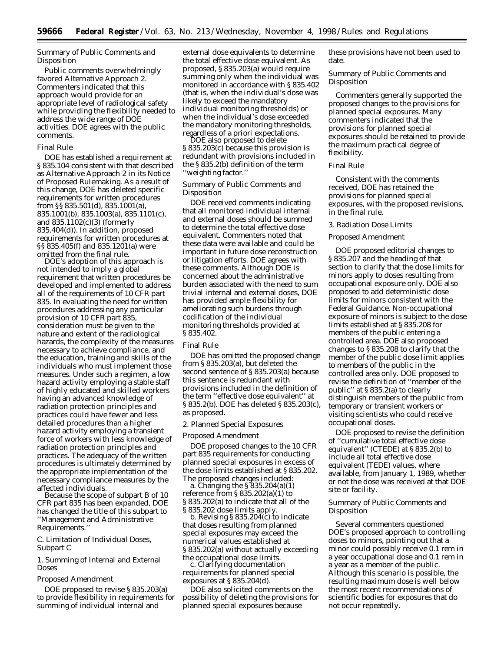Summary of Public Comments and **Disposition** 

Public comments overwhelmingly favored Alternative Approach 2. Commenters indicated that this approach would provide for an appropriate level of radiological safety while providing the flexibility needed to address the wide range of DOE activities. DOE agrees with the public comments.

# Final Rule

DOE has established a requirement at § 835.104 consistent with that described as Alternative Approach 2 in its Notice of Proposed Rulemaking. As a result of this change, DOE has deleted specific requirements for written procedures from §§ 835.501(d), 835.1001(a), 835.1001(b), 835.1003(a), 835.1101(c), and 835.1102(c)(3) (formerly 835.404(d)). In addition, proposed requirements for written procedures at §§ 835.405(f) and 835.1201(a) were omitted from the final rule.

DOE's adoption of this approach is not intended to imply a global requirement that written procedures be developed and implemented to address all of the requirements of 10 CFR part 835. In evaluating the need for written procedures addressing any particular provision of 10 CFR part 835, consideration must be given to the nature and extent of the radiological hazards, the complexity of the measures necessary to achieve compliance, and the education, training and skills of the individuals who must implement those measures. Under such a regimen, a low hazard activity employing a stable staff of highly educated and skilled workers having an advanced knowledge of radiation protection principles and practices could have fewer and less detailed procedures than a higher hazard activity employing a transient force of workers with less knowledge of radiation protection principles and practices. The adequacy of the written procedures is ultimately determined by the appropriate implementation of the necessary compliance measures by the affected individuals.

Because the scope of subpart B of 10 CFR part 835 has been expanded, DOE has changed the title of this subpart to ''Management and Administrative Requirements.''

# *C. Limitation of Individual Doses, Subpart C*

1. Summing of Internal and External Doses

#### Proposed Amendment

DOE proposed to revise § 835.203(a) to provide flexibility in requirements for summing of individual internal and

external dose equivalents to determine the total effective dose equivalent. As proposed, § 835.203(a) would require summing only when the individual was monitored in accordance with § 835.402 (that is, when the individual's dose was likely to exceed the mandatory individual monitoring thresholds) or when the individual's dose exceeded the mandatory monitoring thresholds, regardless of a priori expectations. DOE also proposed to delete

§ 835.203(c) because this provision is redundant with provisions included in the § 835.2(b) definition of the term ''weighting factor.''

# Summary of Public Comments and **Disposition**

DOE received comments indicating that all monitored individual internal and external doses should be summed to determine the total effective dose equivalent. Commenters noted that these data were available and could be important in future dose reconstruction or litigation efforts. DOE agrees with these comments. Although DOE is concerned about the administrative burden associated with the need to sum trivial internal and external doses, DOE has provided ample flexibility for ameliorating such burdens through codification of the individual monitoring thresholds provided at § 835.402.

#### Final Rule

DOE has omitted the proposed change from § 835.203(a), but deleted the second sentence of § 835.203(a) because this sentence is redundant with provisions included in the definition of the term ''effective dose equivalent'' at § 835.2(b). DOE has deleted § 835.203(c), as proposed.

### 2. Planned Special Exposures

#### Proposed Amendment

DOE proposed changes to the 10 CFR part 835 requirements for conducting planned special exposures in excess of the dose limits established at § 835.202.<br>The proposed changes included:

a. Changing the  $$835.204(a)(1)$ reference from § 835.202(a)(1) to § 835.202(a) to indicate that all of the § 835.202 dose limits apply.

b. Revising  $\S 835.204(c)$  to indicate that doses resulting from planned special exposures may exceed the numerical values established at § 835.202(a) without actually exceeding the occupational dose limits. c. Clarifying documentation

requirements for planned special exposures at § 835.204(d).

DOE also solicited comments on the possibility of deleting the provisions for planned special exposures because

these provisions have not been used to date.

Summary of Public Comments and Disposition

Commenters generally supported the proposed changes to the provisions for planned special exposures. Many commenters indicated that the provisions for planned special exposures should be retained to provide the maximum practical degree of flexibility.

#### Final Rule

Consistent with the comments received, DOE has retained the provisions for planned special exposures, with the proposed revisions, in the final rule.

# 3. Radiation Dose Limits

# Proposed Amendment

DOE proposed editorial changes to § 835.207 and the heading of that section to clarify that the dose limits for minors apply to doses resulting from occupational exposure only. DOE also proposed to add deterministic dose limits for minors consistent with the Federal Guidance. Non-occupational exposure of minors is subject to the dose limits established at § 835.208 for members of the public entering a controlled area. DOE also proposed changes to § 835.208 to clarify that the member of the public dose limit applies to members of the public in the controlled area only. DOE proposed to revise the definition of ''member of the public'' at § 835.2(a) to clearly distinguish members of the public from temporary or transient workers or visiting scientists who could receive occupational doses.

DOE proposed to revise the definition of ''cumulative total effective dose equivalent'' (CTEDE) at § 835.2(b) to include all total effective dose equivalent (TEDE) values, where available, from January 1, 1989, whether or not the dose was received at that DOE site or facility.

# Summary of Public Comments and Disposition

Several commenters questioned DOE's proposed approach to controlling doses to minors, pointing out that a minor could possibly receive 0.1 rem in a year occupational dose and 0.1 rem in a year as a member of the public. Although this scenario is possible, the resulting maximum dose is well below the most recent recommendations of scientific bodies for exposures that do not occur repeatedly.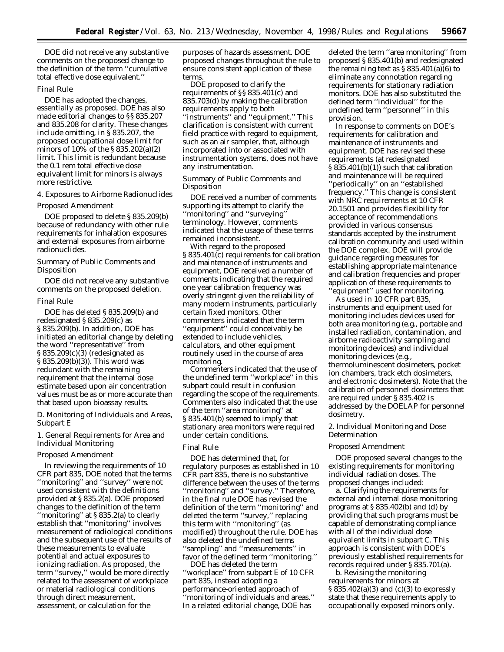DOE did not receive any substantive comments on the proposed change to the definition of the term ''cumulative total effective dose equivalent.''

### Final Rule

DOE has adopted the changes, essentially as proposed. DOE has also made editorial changes to §§ 835.207 and 835.208 for clarity. These changes include omitting, in § 835.207, the proposed occupational dose limit for minors of 10% of the § 835.202(a)(2) limit. This limit is redundant because the 0.1 rem total effective dose equivalent limit for minors is always more restrictive.

### 4. Exposures to Airborne Radionuclides

#### Proposed Amendment

DOE proposed to delete § 835.209(b) because of redundancy with other rule requirements for inhalation exposures and external exposures from airborne radionuclides.

Summary of Public Comments and Disposition

DOE did not receive any substantive comments on the proposed deletion.

#### Final Rule

DOE has deleted § 835.209(b) and redesignated § 835.209(c) as § 835.209(b). In addition, DOE has initiated an editorial change by deleting the word ''representative'' from § 835.209(c)(3) (redesignated as § 835.209(b)(3)). This word was redundant with the remaining requirement that the internal dose estimate based upon air concentration values must be as or more accurate than that based upon bioassay results.

*D. Monitoring of Individuals and Areas, Subpart E*

1. General Requirements for Area and Individual Monitoring

#### Proposed Amendment

In reviewing the requirements of 10 CFR part 835, DOE noted that the terms ''monitoring'' and ''survey'' were not used consistent with the definitions provided at § 835.2(a). DOE proposed changes to the definition of the term ''monitoring'' at § 835.2(a) to clearly establish that ''monitoring'' involves measurement of radiological conditions and the subsequent use of the results of these measurements to evaluate potential and actual exposures to ionizing radiation. As proposed, the term ''survey,'' would be more directly related to the assessment of workplace or material radiological conditions through direct measurement, assessment, or calculation for the

purposes of hazards assessment. DOE proposed changes throughout the rule to ensure consistent application of these terms.

DOE proposed to clarify the requirements of §§ 835.401(c) and 835.703(d) by making the calibration requirements apply to both ''instruments'' and ''equipment.'' This clarification is consistent with current field practice with regard to equipment, such as an air sampler, that, although incorporated into or associated with instrumentation systems, does not have any instrumentation.

Summary of Public Comments and Disposition

DOE received a number of comments supporting its attempt to clarify the ''monitoring'' and ''surveying'' terminology. However, comments indicated that the usage of these terms remained inconsistent.

With regard to the proposed § 835.401(c) requirements for calibration and maintenance of instruments and equipment, DOE received a number of comments indicating that the required one year calibration frequency was overly stringent given the reliability of many modern instruments, particularly certain fixed monitors. Other commenters indicated that the term ''equipment'' could conceivably be extended to include vehicles, calculators, and other equipment routinely used in the course of area monitoring.

Commenters indicated that the use of the undefined term ''workplace'' in this subpart could result in confusion regarding the scope of the requirements. Commenters also indicated that the use of the term ''area monitoring'' at § 835.401(b) seemed to imply that stationary area monitors were required under certain conditions.

### Final Rule

DOE has determined that, for regulatory purposes as established in 10 CFR part 835, there is no substantive difference between the uses of the terms ''monitoring'' and ''survey.'' Therefore, in the final rule DOE has revised the definition of the term ''monitoring'' and deleted the term ''survey,'' replacing this term with ''monitoring'' (as modified) throughout the rule. DOE has also deleted the undefined terms ''sampling'' and ''measurements'' in favor of the defined term ''monitoring.''

DOE has deleted the term ''workplace'' from subpart E of 10 CFR part 835, instead adopting a performance-oriented approach of ''monitoring of individuals and areas.'' In a related editorial change, DOE has

deleted the term ''area monitoring'' from proposed § 835.401(b) and redesignated the remaining text as  $\S 835.401(a)(6)$  to eliminate any connotation regarding requirements for stationary radiation monitors. DOE has also substituted the defined term ''individual'' for the undefined term ''personnel'' in this provision.

In response to comments on DOE's requirements for calibration and maintenance of instruments and equipment, DOE has revised these requirements (at redesignated § 835.401(b)(1)) such that calibration and maintenance will be required ''periodically'' on an ''established frequency.'' This change is consistent with NRC requirements at 10 CFR 20.1501 and provides flexibility for acceptance of recommendations provided in various consensus standards accepted by the instrument calibration community and used within the DOE complex. DOE will provide guidance regarding measures for establishing appropriate maintenance and calibration frequencies and proper application of these requirements to 'equipment'' used for monitoring.

As used in 10 CFR part 835, instruments and equipment used for monitoring includes devices used for both area monitoring (e.g., portable and installed radiation, contamination, and airborne radioactivity sampling and monitoring devices) and individual monitoring devices (e.g., thermoluminescent dosimeters, pocket ion chambers, track etch dosimeters, and electronic dosimeters). Note that the calibration of personnel dosimeters that are required under § 835.402 is addressed by the DOELAP for personnel dosimetry.

### 2. Individual Monitoring and Dose Determination

### Proposed Amendment

DOE proposed several changes to the existing requirements for monitoring individual radiation doses. The proposed changes included:

a. Clarifying the requirements for external and internal dose monitoring programs at § 835.402(b) and (d) by providing that such programs must be capable of demonstrating compliance with all of the individual dose equivalent limits in subpart C. This approach is consistent with DOE's previously established requirements for records required under § 835.701(a).

b. Revising the monitoring requirements for minors at § 835.402(a)(3) and (c)(3) to expressly state that these requirements apply to occupationally exposed minors only.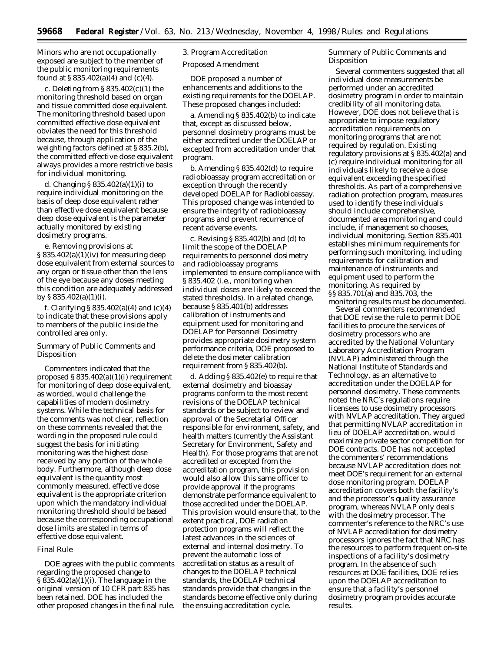Minors who are not occupationally exposed are subject to the member of the public monitoring requirements found at  $\S 835.402(a)(4)$  and (c)(4).

c. Deleting from  $\S 835.402(c)(1)$  the monitoring threshold based on organ and tissue committed dose equivalent. The monitoring threshold based upon committed effective dose equivalent obviates the need for this threshold because, through application of the weighting factors defined at § 835.2(b), the committed effective dose equivalent always provides a more restrictive basis for individual monitoring.

d. Changing § 835.402(a)(1)(i) to require individual monitoring on the basis of deep dose equivalent rather than effective dose equivalent because deep dose equivalent is the parameter actually monitored by existing dosimetry programs.

e. Removing provisions at  $\S 835.402(a)(1)(iv)$  for measuring deep dose equivalent from external sources to any organ or tissue other than the lens of the eye because any doses meeting this condition are adequately addressed by § 835.402(a)(1)(i).

f. Clarifying  $\S 835.402(a)(4)$  and  $(c)(4)$ to indicate that these provisions apply to members of the public inside the controlled area only.

# Summary of Public Comments and Disposition

Commenters indicated that the proposed § 835.402(a)(1)(i) requirement for monitoring of deep dose equivalent, as worded, would challenge the capabilities of modern dosimetry systems. While the technical basis for the comments was not clear, reflection on these comments revealed that the wording in the proposed rule could suggest the basis for initiating monitoring was the highest dose received by any portion of the whole body. Furthermore, although deep dose equivalent is the quantity most commonly measured, effective dose equivalent is the appropriate criterion upon which the mandatory individual monitoring threshold should be based because the corresponding occupational dose limits are stated in terms of effective dose equivalent.

### Final Rule

DOE agrees with the public comments regarding the proposed change to § 835.402(a)(1)(i). The language in the original version of 10 CFR part 835 has been retained. DOE has included the other proposed changes in the final rule.

3. Program Accreditation

Proposed Amendment

DOE proposed a number of enhancements and additions to the existing requirements for the DOELAP. These proposed changes included:

a. Amending § 835.402(b) to indicate that, except as discussed below, personnel dosimetry programs must be either accredited under the DOELAP or excepted from accreditation under that program.

b. Amending § 835.402(d) to require radiobioassay program accreditation or exception through the recently developed DOELAP for Radiobioassay. This proposed change was intended to ensure the integrity of radiobioassay programs and prevent recurrence of recent adverse events.

c. Revising § 835.402(b) and (d) to limit the scope of the DOELAP requirements to personnel dosimetry and radiobioassay programs implemented to ensure compliance with § 835.402 (i.e., monitoring when individual doses are likely to exceed the stated thresholds). In a related change, because § 835.401(b) addresses calibration of instruments and equipment used for monitoring and DOELAP for Personnel Dosimetry provides appropriate dosimetry system performance criteria, DOE proposed to delete the dosimeter calibration requirement from § 835.402(b).

d. Adding § 835.402(e) to require that external dosimetry and bioassay programs conform to the most recent revisions of the DOELAP technical standards or be subject to review and approval of the Secretarial Officer responsible for environment, safety, and health matters (currently the Assistant Secretary for Environment, Safety and Health). For those programs that are not accredited or excepted from the accreditation program, this provision would also allow this same officer to provide approval if the programs demonstrate performance equivalent to those accredited under the DOELAP. This provision would ensure that, to the extent practical, DOE radiation protection programs will reflect the latest advances in the sciences of external and internal dosimetry. To prevent the automatic loss of accreditation status as a result of changes to the DOELAP technical standards, the DOELAP technical standards provide that changes in the standards become effective only during the ensuing accreditation cycle.

Summary of Public Comments and Disposition

Several commenters suggested that all individual dose measurements be performed under an accredited dosimetry program in order to maintain credibility of all monitoring data. However, DOE does not believe that is appropriate to impose regulatory accreditation requirements on monitoring programs that are not required by regulation. Existing regulatory provisions at § 835.402(a) and (c) require individual monitoring for all individuals likely to receive a dose equivalent exceeding the specified thresholds. As part of a comprehensive radiation protection program, measures used to identify these individuals should include comprehensive, documented area monitoring and could include, if management so chooses, individual monitoring. Section 835.401 establishes minimum requirements for performing such monitoring, including requirements for calibration and maintenance of instruments and equipment used to perform the monitoring. As required by §§ 835.701(a) and 835.703, the monitoring results must be documented.

Several commenters recommended that DOE revise the rule to permit DOE facilities to procure the services of dosimetry processors who are accredited by the National Voluntary Laboratory Accreditation Program (NVLAP) administered through the National Institute of Standards and Technology, as an alternative to accreditation under the DOELAP for personnel dosimetry. These comments noted the NRC's regulations require licensees to use dosimetry processors with NVLAP accreditation. They argued that permitting NVLAP accreditation in lieu of DOELAP accreditation, would maximize private sector competition for DOE contracts. DOE has not accepted the commenters' recommendations because NVLAP accreditation does not meet DOE's requirement for an external dose monitoring program. DOELAP accreditation covers both the facility's and the processor's quality assurance program, whereas NVLAP only deals with the dosimetry processor. The commenter's reference to the NRC's use of NVLAP accreditation for dosimetry processors ignores the fact that NRC has the resources to perform frequent on-site inspections of a facility's dosimetry program. In the absence of such resources at DOE facilities, DOE relies upon the DOELAP accreditation to ensure that a facility's personnel dosimetry program provides accurate results.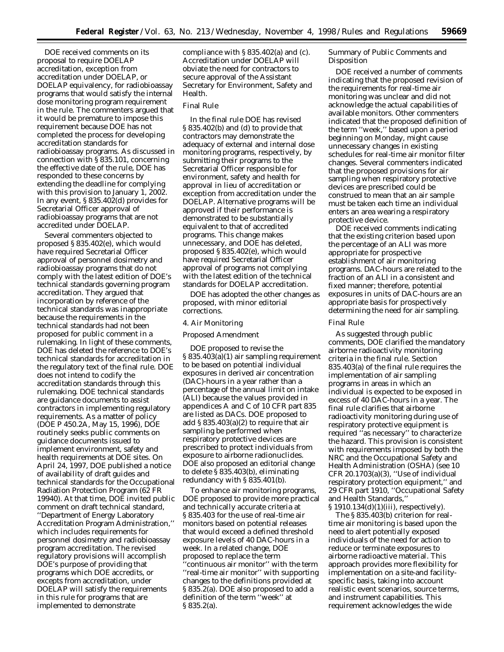DOE received comments on its proposal to require DOELAP accreditation, exception from accreditation under DOELAP, or DOELAP equivalency, for radiobioassay programs that would satisfy the internal dose monitoring program requirement in the rule. The commenters argued that it would be premature to impose this requirement because DOE has not completed the process for developing accreditation standards for radiobioassay programs. As discussed in connection with § 835.101, concerning the effective date of the rule, DOE has responded to these concerns by extending the deadline for complying with this provision to January 1, 2002. In any event, § 835.402(d) provides for Secretarial Officer approval of radiobioassay programs that are not accredited under DOELAP.

Several commenters objected to proposed § 835.402(e), which would have required Secretarial Officer approval of personnel dosimetry and radiobioassay programs that do not comply with the latest edition of DOE's technical standards governing program accreditation. They argued that incorporation by reference of the technical standards was inappropriate because the requirements in the technical standards had not been proposed for public comment in a rulemaking. In light of these comments, DOE has deleted the reference to DOE's technical standards for accreditation in the regulatory text of the final rule. DOE does not intend to codify the accreditation standards through this rulemaking. DOE technical standards are guidance documents to assist contractors in implementing regulatory requirements. As a matter of policy (DOE P 450.2A, May 15, 1996), DOE routinely seeks public comments on guidance documents issued to implement environment, safety and health requirements at DOE sites. On April 24, 1997, DOE published a notice of availability of draft guides and technical standards for the Occupational Radiation Protection Program (62 FR 19940). At that time, DOE invited public comment on draft technical standard, ''Department of Energy Laboratory Accreditation Program Administration,'' which includes requirements for personnel dosimetry and radiobioassay program accreditation. The revised regulatory provisions will accomplish DOE's purpose of providing that programs which DOE accredits, or excepts from accreditation, under DOELAP will satisfy the requirements in this rule for programs that are implemented to demonstrate

compliance with § 835.402(a) and (c). Accreditation under DOELAP will obviate the need for contractors to secure approval of the Assistant Secretary for Environment, Safety and Health.

# Final Rule

In the final rule DOE has revised § 835.402(b) and (d) to provide that contractors may demonstrate the adequacy of external and internal dose monitoring programs, respectively, by submitting their programs to the Secretarial Officer responsible for environment, safety and health for approval in lieu of accreditation or exception from accreditation under the DOELAP. Alternative programs will be approved if their performance is demonstrated to be substantially equivalent to that of accredited programs. This change makes unnecessary, and DOE has deleted, proposed § 835.402(e), which would have required Secretarial Officer approval of programs not complying with the latest edition of the technical standards for DOELAP accreditation.

DOE has adopted the other changes as proposed, with minor editorial corrections.

### 4. Air Monitoring

# Proposed Amendment

DOE proposed to revise the § 835.403(a)(1) air sampling requirement to be based on potential individual exposures in derived air concentration (DAC)-hours in a year rather than a percentage of the annual limit on intake (ALI) because the values provided in appendices A and C of 10 CFR part 835 are listed as DACs. DOE proposed to add § 835.403(a)(2) to require that air sampling be performed when respiratory protective devices are prescribed to protect individuals from exposure to airborne radionuclides. DOE also proposed an editorial change to delete § 835.403(b), eliminating redundancy with § 835.401(b).

To enhance air monitoring programs, DOE proposed to provide more practical and technically accurate criteria at § 835.403 for the use of real-time air monitors based on potential releases that would exceed a defined threshold exposure levels of 40 DAC-hours in a week. In a related change, DOE proposed to replace the term 'continuous air monitor'' with the term ''real-time air monitor'' with supporting changes to the definitions provided at § 835.2(a). DOE also proposed to add a definition of the term ''week'' at § 835.2(a).

Summary of Public Comments and Disposition

DOE received a number of comments indicating that the proposed revision of the requirements for real-time air monitoring was unclear and did not acknowledge the actual capabilities of available monitors. Other commenters indicated that the proposed definition of the term ''week,'' based upon a period beginning on Monday, might cause unnecessary changes in existing schedules for real-time air monitor filter changes. Several commenters indicated that the proposed provisions for air sampling when respiratory protective devices are prescribed could be construed to mean that an air sample must be taken each time an individual enters an area wearing a respiratory protective device.

DOE received comments indicating that the existing criterion based upon the percentage of an ALI was more appropriate for prospective establishment of air monitoring programs. DAC-hours are related to the fraction of an ALI in a consistent and fixed manner; therefore, potential exposures in units of DAC-hours are an appropriate basis for prospectively determining the need for air sampling.

#### Final Rule

As suggested through public comments, DOE clarified the mandatory airborne radioactivity monitoring criteria in the final rule. Section 835.403(a) of the final rule requires the implementation of air sampling programs in areas in which an individual is expected to be exposed in excess of 40 DAC-hours in a year. The final rule clarifies that airborne radioactivity monitoring during use of respiratory protective equipment is required ''as necessary'' to characterize the hazard. This provision is consistent with requirements imposed by both the NRC and the Occupational Safety and Health Administration (OSHA) (see 10 CFR 20.1703(a)(3), ''Use of individual respiratory protection equipment,'' and 29 CFR part 1910, ''Occupational Safety and Health Standards,''

§ 1910.134(d)(1)(iii), respectively). The § 835.403(b) criterion for realtime air monitoring is based upon the need to alert potentially exposed individuals of the need for action to reduce or terminate exposures to airborne radioactive material. This approach provides more flexibility for implementation on a site-and facilityspecific basis, taking into account realistic event scenarios, source terms, and instrument capabilities. This requirement acknowledges the wide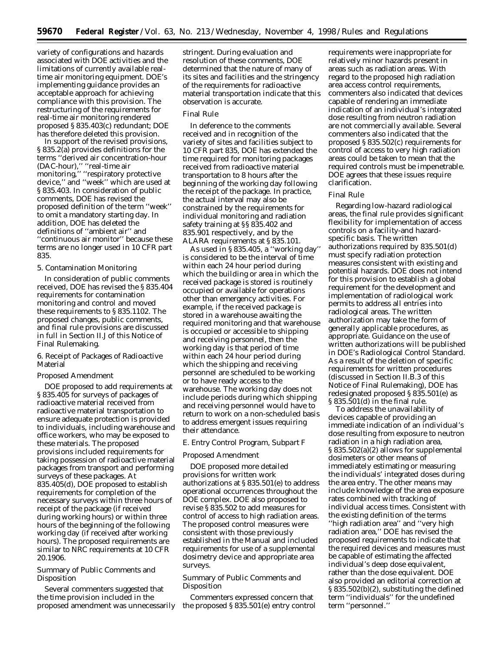variety of configurations and hazards associated with DOE activities and the limitations of currently available realtime air monitoring equipment. DOE's implementing guidance provides an acceptable approach for achieving compliance with this provision. The restructuring of the requirements for real-time air monitoring rendered proposed § 835.403(c) redundant; DOE has therefore deleted this provision.

In support of the revised provisions, § 835.2(a) provides definitions for the terms ''derived air concentration-hour (DAC-hour),'' ''real-time air monitoring,'' ''respiratory protective device,'' and ''week'' which are used at § 835.403. In consideration of public comments, DOE has revised the proposed definition of the term ''week'' to omit a mandatory starting day. In addition, DOE has deleted the definitions of ''ambient air'' and ''continuous air monitor'' because these terms are no longer used in 10 CFR part 835.

# 5. Contamination Monitoring

In consideration of public comments received, DOE has revised the § 835.404 requirements for contamination monitoring and control and moved these requirements to § 835.1102. The proposed changes, public comments, and final rule provisions are discussed in full in Section II.J of this Notice of Final Rulemaking.

### 6. Receipt of Packages of Radioactive Material

# Proposed Amendment

DOE proposed to add requirements at § 835.405 for surveys of packages of radioactive material received from radioactive material transportation to ensure adequate protection is provided to individuals, including warehouse and office workers, who may be exposed to these materials. The proposed provisions included requirements for taking possession of radioactive material packages from transport and performing surveys of these packages. At 835.405(d), DOE proposed to establish requirements for completion of the necessary surveys within three hours of receipt of the package (if received during working hours) or within three hours of the beginning of the following working day (if received after working hours). The proposed requirements are similar to NRC requirements at 10 CFR 20.1906.

# Summary of Public Comments and Disposition

Several commenters suggested that the time provision included in the proposed amendment was unnecessarily stringent. During evaluation and resolution of these comments, DOE determined that the nature of many of its sites and facilities and the stringency of the requirements for radioactive material transportation indicate that this observation is accurate.

### Final Rule

In deference to the comments received and in recognition of the variety of sites and facilities subject to 10 CFR part 835, DOE has extended the time required for monitoring packages received from radioactive material transportation to 8 hours after the beginning of the working day following the receipt of the package. In practice, the actual interval may also be constrained by the requirements for individual monitoring and radiation safety training at §§ 835.402 and 835.901 respectively, and by the ALARA requirements at § 835.101.

As used in § 835.405, a ''working day'' is considered to be the interval of time within each 24 hour period during which the building or area in which the received package is stored is routinely occupied or available for operations other than emergency activities. For example, if the received package is stored in a warehouse awaiting the required monitoring and that warehouse is occupied or accessible to shipping and receiving personnel, then the working day is that period of time within each 24 hour period during which the shipping and receiving personnel are scheduled to be working or to have ready access to the warehouse. The working day does not include periods during which shipping and receiving personnel would have to return to work on a non-scheduled basis to address emergent issues requiring their attendance.

# *E. Entry Control Program, Subpart F*

#### Proposed Amendment

DOE proposed more detailed provisions for written work authorizations at § 835.501(e) to address operational occurrences throughout the DOE complex. DOE also proposed to revise § 835.502 to add measures for control of access to high radiation areas. The proposed control measures were consistent with those previously established in the Manual and included requirements for use of a supplemental dosimetry device and appropriate area surveys.

# Summary of Public Comments and Disposition

Commenters expressed concern that the proposed § 835.501(e) entry control

requirements were inappropriate for relatively minor hazards present in areas such as radiation areas. With regard to the proposed high radiation area access control requirements, commenters also indicated that devices capable of rendering an immediate indication of an individual's integrated dose resulting from neutron radiation are not commercially available. Several commenters also indicated that the proposed § 835.502(c) requirements for control of access to very high radiation areas could be taken to mean that the required controls must be impenetrable. DOE agrees that these issues require clarification.

#### Final Rule

Regarding low-hazard radiological areas, the final rule provides significant flexibility for implementation of access controls on a facility-and hazardspecific basis. The written authorizations required by 835.501(d) must specify radiation protection measures consistent with existing and potential hazards. DOE does not intend for this provision to establish a global requirement for the development and implementation of radiological work permits to address all entries into radiological areas. The written authorization may take the form of generally applicable procedures, as appropriate. Guidance on the use of written authorizations will be published in DOE's Radiological Control Standard. As a result of the deletion of specific requirements for written procedures (discussed in Section II.B.3 of this Notice of Final Rulemaking), DOE has redesignated proposed § 835.501(e) as § 835.501(d) in the final rule.

To address the unavailability of devices capable of providing an immediate indication of an individual's dose resulting from exposure to neutron radiation in a high radiation area, § 835.502(a)(2) allows for supplemental dosimeters or other means of immediately estimating or measuring the individuals' integrated doses during the area entry. The other means may include knowledge of the area exposure rates combined with tracking of individual access times. Consistent with the existing definition of the terms ''high radiation area'' and ''very high radiation area,'' DOE has revised the proposed requirements to indicate that the required devices and measures must be capable of estimating the affected individual's deep dose equivalent, rather than the dose equivalent. DOE also provided an editorial correction at § 835.502(b)(2), substituting the defined term ''individuals'' for the undefined term ''personnel.''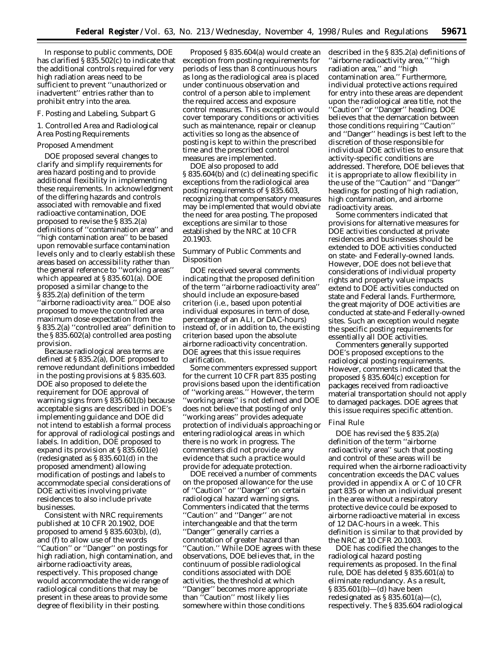In response to public comments, DOE has clarified § 835.502(c) to indicate that the additional controls required for very high radiation areas need to be sufficient to prevent ''unauthorized or inadvertent'' entries rather than to prohibit entry into the area.

#### *F. Posting and Labeling, Subpart G*

1. Controlled Area and Radiological Area Posting Requirements

# Proposed Amendment

DOE proposed several changes to clarify and simplify requirements for area hazard posting and to provide additional flexibility in implementing these requirements. In acknowledgment of the differing hazards and controls associated with removable and fixed radioactive contamination, DOE proposed to revise the § 835.2(a) definitions of ''contamination area'' and ''high contamination area'' to be based upon removable surface contamination levels only and to clearly establish these areas based on accessibility rather than the general reference to ''working areas'' which appeared at § 835.601(a). DOE proposed a similar change to the § 835.2(a) definition of the term 'airborne radioactivity area." DOE also proposed to move the controlled area maximum dose expectation from the § 835.2(a) ''controlled area'' definition to the § 835.602(a) controlled area posting provision.

Because radiological area terms are defined at § 835.2(a), DOE proposed to remove redundant definitions imbedded in the posting provisions at § 835.603. DOE also proposed to delete the requirement for DOE approval of warning signs from § 835.601(b) because acceptable signs are described in DOE's implementing guidance and DOE did not intend to establish a formal process for approval of radiological postings and labels. In addition, DOE proposed to expand its provision at § 835.601(e) (redesignated as § 835.601(d) in the proposed amendment) allowing modification of postings and labels to accommodate special considerations of DOE activities involving private residences to also include private businesses.

Consistent with NRC requirements published at 10 CFR 20.1902, DOE proposed to amend § 835.603(b), (d), and (f) to allow use of the words ''Caution'' or ''Danger'' on postings for high radiation, high contamination, and airborne radioactivity areas, respectively. This proposed change would accommodate the wide range of radiological conditions that may be present in these areas to provide some degree of flexibility in their posting.

Proposed § 835.604(a) would create an exception from posting requirements for periods of less than 8 continuous hours as long as the radiological area is placed under continuous observation and control of a person able to implement the required access and exposure control measures. This exception would cover temporary conditions or activities such as maintenance, repair or cleanup activities so long as the absence of posting is kept to within the prescribed time and the prescribed control measures are implemented.

DOE also proposed to add § 835.604(b) and (c) delineating specific exceptions from the radiological area posting requirements of § 835.603, recognizing that compensatory measures may be implemented that would obviate the need for area posting. The proposed exceptions are similar to those established by the NRC at 10 CFR 20.1903.

# Summary of Public Comments and Disposition

DOE received several comments indicating that the proposed definition of the term ''airborne radioactivity area'' should include an exposure-based criterion (i.e., based upon potential individual exposures in term of dose, percentage of an ALI, or DAC-hours) instead of, or in addition to, the existing criterion based upon the absolute airborne radioactivity concentration. DOE agrees that this issue requires clarification.

Some commenters expressed support for the current 10 CFR part 835 posting provisions based upon the identification of ''working areas.'' However, the term ''working areas'' is not defined and DOE does not believe that posting of only 'working areas'' provides adequate protection of individuals approaching or entering radiological areas in which there is no work in progress. The commenters did not provide any evidence that such a practice would provide for adequate protection.

DOE received a number of comments on the proposed allowance for the use of ''Caution'' or ''Danger'' on certain radiological hazard warning signs. Commenters indicated that the terms ''Caution'' and ''Danger'' are not interchangeable and that the term ''Danger'' generally carries a connotation of greater hazard than ''Caution.'' While DOE agrees with these observations, DOE believes that, in the continuum of possible radiological conditions associated with DOE activities, the threshold at which ''Danger'' becomes more appropriate than ''Caution'' most likely lies somewhere within those conditions

described in the § 835.2(a) definitions of ''airborne radioactivity area,'' ''high radiation area,'' and ''high contamination area.'' Furthermore, individual protective actions required for entry into these areas are dependent upon the radiological area title, not the ''Caution'' or ''Danger'' heading. DOE believes that the demarcation between those conditions requiring ''Caution'' and ''Danger'' headings is best left to the discretion of those responsible for individual DOE activities to ensure that activity-specific conditions are addressed. Therefore, DOE believes that it is appropriate to allow flexibility in the use of the ''Caution'' and ''Danger'' headings for posting of high radiation, high contamination, and airborne radioactivity areas.

Some commenters indicated that provisions for alternative measures for DOE activities conducted at private residences and businesses should be extended to DOE activities conducted on state- and Federally-owned lands. However, DOE does not believe that considerations of individual property rights and property value impacts extend to DOE activities conducted on state and Federal lands. Furthermore, the great majority of DOE activities are conducted at state-and Federally-owned sites. Such an exception would negate the specific posting requirements for essentially all DOE activities.

Commenters generally supported DOE's proposed exceptions to the radiological posting requirements. However, comments indicated that the proposed § 835.604(c) exception for packages received from radioactive material transportation should not apply to damaged packages. DOE agrees that this issue requires specific attention.

#### Final Rule

DOE has revised the § 835.2(a) definition of the term ''airborne radioactivity area'' such that posting and control of these areas will be required when the airborne radioactivity concentration exceeds the DAC values provided in appendix A or C of 10 CFR part 835 or when an individual present in the area without a respiratory protective device could be exposed to airborne radioactive material in excess of 12 DAC-hours in a week. This definition is similar to that provided by the NRC at 10 CFR 20.1003.

DOE has codified the changes to the radiological hazard posting requirements as proposed. In the final rule, DOE has deleted § 835.601(a) to eliminate redundancy. As a result, § 835.601(b)—(d) have been redesignated as  $\S 835.601(a)$ —(c), respectively. The § 835.604 radiological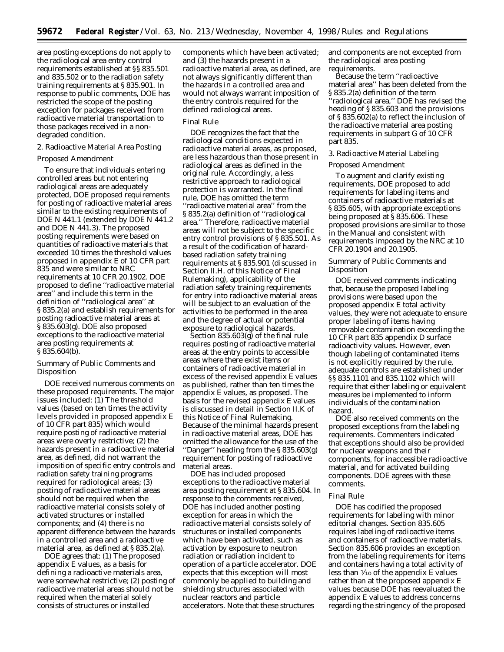area posting exceptions do not apply to the radiological area entry control requirements established at §§ 835.501 and 835.502 or to the radiation safety training requirements at § 835.901. In response to public comments, DOE has restricted the scope of the posting exception for packages received from radioactive material transportation to those packages received in a nondegraded condition.

# 2. Radioactive Material Area Posting

### Proposed Amendment

To ensure that individuals entering controlled areas but not entering radiological areas are adequately protected, DOE proposed requirements for posting of radioactive material areas similar to the existing requirements of DOE N 441.1 (extended by DOE N 441.2 and DOE N 441.3). The proposed posting requirements were based on quantities of radioactive materials that exceeded 10 times the threshold values proposed in appendix E of 10 CFR part 835 and were similar to NRC requirements at 10 CFR 20.1902. DOE proposed to define ''radioactive material area'' and include this term in the definition of ''radiological area'' at § 835.2(a) and establish requirements for posting radioactive material areas at § 835.603(g). DOE also proposed exceptions to the radioactive material area posting requirements at § 835.604(b).

# Summary of Public Comments and Disposition

DOE received numerous comments on these proposed requirements. The major issues included: (1) The threshold values (based on ten times the activity levels provided in proposed appendix E of 10 CFR part 835) which would require posting of radioactive material areas were overly restrictive; (2) the hazards present in a radioactive material area, as defined, did not warrant the imposition of specific entry controls and radiation safety training programs required for radiological areas; (3) posting of radioactive material areas should not be required when the radioactive material consists solely of activated structures or installed components; and (4) there is no apparent difference between the hazards in a controlled area and a radioactive material area, as defined at § 835.2(a).

DOE agrees that: (1) The proposed appendix E values, as a basis for defining a radioactive materials area, were somewhat restrictive; (2) posting of radioactive material areas should not be required when the material solely consists of structures or installed

components which have been activated; and (3) the hazards present in a radioactive material area, as defined, are not always significantly different than the hazards in a controlled area and would not always warrant imposition of the entry controls required for the defined radiological areas.

# Final Rule

DOE recognizes the fact that the radiological conditions expected in radioactive material areas, as proposed, are less hazardous than those present in radiological areas as defined in the original rule. Accordingly, a less restrictive approach to radiological protection is warranted. In the final rule, DOE has omitted the term ''radioactive material area'' from the § 835.2(a) definition of ''radiological area.'' Therefore, radioactive material areas will not be subject to the specific entry control provisions of § 835.501. As a result of the codification of hazardbased radiation safety training requirements at § 835.901 (discussed in Section II.H. of this Notice of Final Rulemaking), applicability of the radiation safety training requirements for entry into radioactive material areas will be subject to an evaluation of the activities to be performed in the area and the degree of actual or potential exposure to radiological hazards.

Section 835.603(g) of the final rule requires posting of radioactive material areas at the entry points to accessible areas where there exist items or containers of radioactive material in excess of the revised appendix E values as published, rather than ten times the appendix E values, as proposed. The basis for the revised appendix E values is discussed in detail in Section II.K of this Notice of Final Rulemaking. Because of the minimal hazards present in radioactive material areas, DOE has omitted the allowance for the use of the ''Danger'' heading from the § 835.603(g) requirement for posting of radioactive material areas.

DOE has included proposed exceptions to the radioactive material area posting requirement at § 835.604. In response to the comments received, DOE has included another posting exception for areas in which the radioactive material consists solely of structures or installed components which have been activated, such as activation by exposure to neutron radiation or radiation incident to operation of a particle accelerator. DOE expects that this exception will most commonly be applied to building and shielding structures associated with nuclear reactors and particle accelerators. Note that these structures

and components are not excepted from the radiological area posting requirements.

Because the term ''radioactive material area'' has been deleted from the § 835.2(a) definition of the term ''radiological area,'' DOE has revised the heading of § 835.603 and the provisions of § 835.602(a) to reflect the inclusion of the radioactive material area posting requirements in subpart G of 10 CFR part 835.

## 3. Radioactive Material Labeling

#### Proposed Amendment

To augment and clarify existing requirements, DOE proposed to add requirements for labeling items and containers of radioactive materials at § 835.605, with appropriate exceptions being proposed at § 835.606. These proposed provisions are similar to those in the Manual and consistent with requirements imposed by the NRC at 10 CFR 20.1904 and 20.1905.

# Summary of Public Comments and Disposition

DOE received comments indicating that, because the proposed labeling provisions were based upon the proposed appendix E total activity values, they were not adequate to ensure proper labeling of items having removable contamination exceeding the 10 CFR part 835 appendix D surface radioactivity values. However, even though labeling of contaminated items is not explicitly required by the rule, adequate controls are established under §§ 835.1101 and 835.1102 which will require that either labeling or equivalent measures be implemented to inform individuals of the contamination hazard.

DOE also received comments on the proposed exceptions from the labeling requirements. Commenters indicated that exceptions should also be provided for nuclear weapons and their components, for inaccessible radioactive material, and for activated building components. DOE agrees with these comments.

### Final Rule

DOE has codified the proposed requirements for labeling with minor editorial changes. Section 835.605 requires labeling of radioactive items and containers of radioactive materials. Section 835.606 provides an exception from the labeling requirements for items and containers having a total activity of less than  $\frac{1}{10}$  of the appendix E values rather than at the proposed appendix E values because DOE has reevaluated the appendix E values to address concerns regarding the stringency of the proposed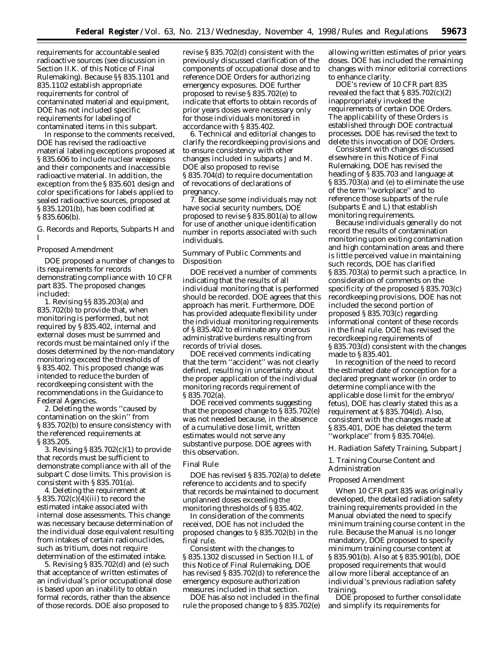requirements for accountable sealed radioactive sources (see discussion in Section II.K. of this Notice of Final Rulemaking). Because §§ 835.1101 and 835.1102 establish appropriate requirements for control of contaminated material and equipment, DOE has not included specific requirements for labeling of contaminated items in this subpart.

In response to the comments received, DOE has revised the radioactive material labeling exceptions proposed at § 835.606 to include nuclear weapons and their components and inaccessible radioactive material. In addition, the exception from the § 835.601 design and color specifications for labels applied to sealed radioactive sources, proposed at § 835.1201(b), has been codified at § 835.606(b).

# *G. Records and Reports, Subparts H and I*

# Proposed Amendment

DOE proposed a number of changes to its requirements for records demonstrating compliance with 10 CFR part 835. The proposed changes included:

1. Revising §§ 835.203(a) and 835.702(b) to provide that, when monitoring is performed, but not required by § 835.402, internal and external doses must be summed and records must be maintained only if the doses determined by the non-mandatory monitoring exceed the thresholds of § 835.402. This proposed change was intended to reduce the burden of recordkeeping consistent with the recommendations in the Guidance to Federal Agencies.

2. Deleting the words ''caused by contamination on the skin'' from § 835.702(b) to ensure consistency with the referenced requirements at § 835.205.

3. Revising § 835.702(c)(1) to provide that records must be sufficient to demonstrate compliance with all of the subpart C dose limits. This provision is consistent with § 835.701(a).

4. Deleting the requirement at § 835.702(c)(4)(iii) to record the estimated intake associated with internal dose assessments. This change was necessary because determination of the individual dose equivalent resulting from intakes of certain radionuclides, such as tritium, does not require determination of the estimated intake.

5. Revising § 835.702(d) and (e) such that acceptance of written estimates of an individual's prior occupational dose is based upon an inability to obtain formal records, rather than the absence of those records. DOE also proposed to

revise § 835.702(d) consistent with the previously discussed clarification of the components of occupational dose and to reference DOE Orders for authorizing emergency exposures. DOE further proposed to revise § 835.702(e) to indicate that efforts to obtain records of prior years doses were necessary only for those individuals monitored in accordance with § 835.402.

6. Technical and editorial changes to clarify the recordkeeping provisions and to ensure consistency with other changes included in subparts J and M. DOE also proposed to revise § 835.704(d) to require documentation of revocations of declarations of pregnancy.

7. Because some individuals may not have social security numbers, DOE proposed to revise § 835.801(a) to allow for use of another unique identification number in reports associated with such individuals.

Summary of Public Comments and Disposition

DOE received a number of comments indicating that the results of all individual monitoring that is performed should be recorded. DOE agrees that this approach has merit. Furthermore, DOE has provided adequate flexibility under the individual monitoring requirements of § 835.402 to eliminate any onerous administrative burdens resulting from records of trivial doses.

DOE received comments indicating that the term ''accident'' was not clearly defined, resulting in uncertainty about the proper application of the individual monitoring records requirement of § 835.702(a).

DOE received comments suggesting that the proposed change to § 835.702(e) was not needed because, in the absence of a cumulative dose limit, written estimates would not serve any substantive purpose. DOE agrees with this observation.

# Final Rule

DOE has revised § 835.702(a) to delete reference to accidents and to specify that records be maintained to document unplanned doses exceeding the monitoring thresholds of § 835.402.

In consideration of the comments received, DOE has not included the proposed changes to § 835.702(b) in the final rule.

Consistent with the changes to § 835.1302 discussed in Section II.L of this Notice of Final Rulemaking, DOE has revised § 835.702(d) to reference the emergency exposure authorization measures included in that section.

DOE has also not included in the final rule the proposed change to § 835.702(e)

allowing written estimates of prior years doses. DOE has included the remaining changes with minor editorial corrections to enhance clarity.

DOE's review of 10 CFR part 835 revealed the fact that  $\S 835.702(c)(2)$ inappropriately invoked the requirements of certain DOE Orders. The applicability of these Orders is established through DOE contractual processes. DOE has revised the text to delete this invocation of DOE Orders.

Consistent with changes discussed elsewhere in this Notice of Final Rulemaking, DOE has revised the heading of § 835.703 and language at § 835.703(a) and (e) to eliminate the use of the term ''workplace'' and to reference those subparts of the rule (subparts E and L) that establish monitoring requirements.

Because individuals generally do not record the results of contamination monitoring upon exiting contamination and high contamination areas and there is little perceived value in maintaining such records, DOE has clarified § 835.703(a) to permit such a practice. In consideration of comments on the specificity of the proposed § 835.703(c) recordkeeping provisions, DOE has not included the second portion of proposed § 835.703(c) regarding informational content of these records in the final rule. DOE has revised the recordkeeping requirements of § 835.703(d) consistent with the changes made to § 835.401.

In recognition of the need to record the estimated date of conception for a declared pregnant worker (in order to determine compliance with the applicable dose limit for the embryo/ fetus), DOE has clearly stated this as a requirement at § 835.704(d). Also, consistent with the changes made at § 835.401, DOE has deleted the term ''workplace'' from § 835.704(e).

#### *H. Radiation Safety Training, Subpart J*

1. Training Course Content and Administration

### Proposed Amendment

When 10 CFR part 835 was originally developed, the detailed radiation safety training requirements provided in the Manual obviated the need to specify minimum training course content in the rule. Because the Manual is no longer mandatory, DOE proposed to specify minimum training course content at § 835.901(b). Also at § 835.901(b), DOE proposed requirements that would allow more liberal acceptance of an individual's previous radiation safety training.

DOE proposed to further consolidate and simplify its requirements for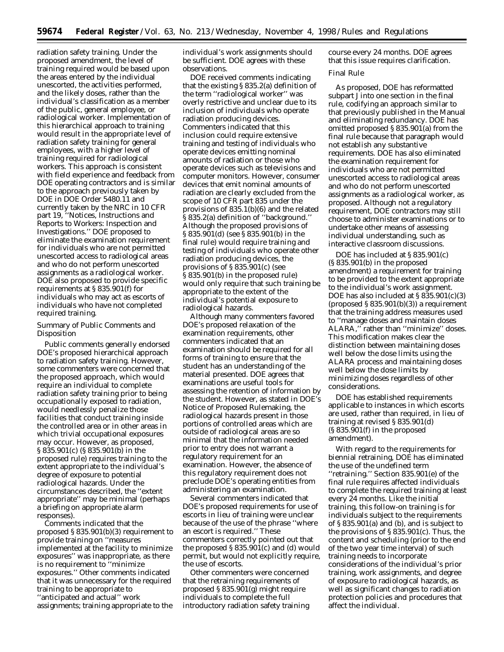radiation safety training. Under the proposed amendment, the level of training required would be based upon the areas entered by the individual unescorted, the activities performed, and the likely doses, rather than the individual's classification as a member of the public, general employee, or radiological worker. Implementation of this hierarchical approach to training would result in the appropriate level of radiation safety training for general employees, with a higher level of training required for radiological workers. This approach is consistent with field experience and feedback from DOE operating contractors and is similar to the approach previously taken by DOE in DOE Order 5480.11 and currently taken by the NRC in 10 CFR part 19, ''Notices, Instructions and Reports to Workers: Inspection and Investigations.'' DOE proposed to eliminate the examination requirement for individuals who are not permitted unescorted access to radiological areas and who do not perform unescorted assignments as a radiological worker. DOE also proposed to provide specific requirements at § 835.901(f) for individuals who may act as escorts of individuals who have not completed required training.

# Summary of Public Comments and Disposition

Public comments generally endorsed DOE's proposed hierarchical approach to radiation safety training. However, some commenters were concerned that the proposed approach, which would require an individual to complete radiation safety training prior to being occupationally exposed to radiation, would needlessly penalize those facilities that conduct training inside the controlled area or in other areas in which trivial occupational exposures may occur. However, as proposed, § 835.901(c) (§ 835.901(b) in the proposed rule) requires training to the extent appropriate to the individual's degree of exposure to potential radiological hazards. Under the circumstances described, the ''extent appropriate'' may be minimal (perhaps a briefing on appropriate alarm responses).

Comments indicated that the proposed § 835.901(b)(3) requirement to provide training on ''measures implemented at the facility to minimize exposures'' was inappropriate, as there is no requirement to ''minimize exposures.'' Other comments indicated that it was unnecessary for the required training to be appropriate to ''anticipated and actual'' work assignments; training appropriate to the

individual's work assignments should be sufficient. DOE agrees with these observations.

DOE received comments indicating that the existing § 835.2(a) definition of the term ''radiological worker'' was overly restrictive and unclear due to its inclusion of individuals who operate radiation producing devices. Commenters indicated that this inclusion could require extensive training and testing of individuals who operate devices emitting nominal amounts of radiation or those who operate devices such as televisions and computer monitors. However, consumer devices that emit nominal amounts of radiation are clearly excluded from the scope of 10 CFR part 835 under the provisions of 835.1(b)(6) and the related § 835.2(a) definition of ''background.'' Although the proposed provisions of § 835.901(d) (see § 835.901(b) in the final rule) would require training and testing of individuals who operate other radiation producing devices, the provisions of § 835.901(c) (see § 835.901(b) in the proposed rule) would only require that such training be appropriate to the extent of the individual's potential exposure to radiological hazards.

Although many commenters favored DOE's proposed relaxation of the examination requirements, other commenters indicated that an examination should be required for all forms of training to ensure that the student has an understanding of the material presented. DOE agrees that examinations are useful tools for assessing the retention of information by the student. However, as stated in DOE's Notice of Proposed Rulemaking, the radiological hazards present in those portions of controlled areas which are outside of radiological areas are so minimal that the information needed prior to entry does not warrant a regulatory requirement for an examination. However, the absence of this regulatory requirement does not preclude DOE's operating entities from administering an examination.

Several commenters indicated that DOE's proposed requirements for use of escorts in lieu of training were unclear because of the use of the phrase ''where an escort is required.'' These commenters correctly pointed out that the proposed § 835.901(c) and (d) would permit, but would not explicitly require, the use of escorts.

Other commenters were concerned that the retraining requirements of proposed § 835.901(g) might require individuals to complete the full introductory radiation safety training course every 24 months. DOE agrees that this issue requires clarification.

# Final Rule

As proposed, DOE has reformatted subpart J into one section in the final rule, codifying an approach similar to that previously published in the Manual and eliminating redundancy. DOE has omitted proposed § 835.901(a) from the final rule because that paragraph would not establish any substantive requirements. DOE has also eliminated the examination requirement for individuals who are not permitted unescorted access to radiological areas and who do not perform unescorted assignments as a radiological worker, as proposed. Although not a regulatory requirement, DOE contractors may still choose to administer examinations or to undertake other means of assessing individual understanding, such as interactive classroom discussions.

DOE has included at § 835.901(c) (§ 835.901(b) in the proposed amendment) a requirement for training to be provided to the extent appropriate to the individual's work assignment. DOE has also included at § 835.901(c)(3)  $(proposed \text{S} 835.901(b)(3))$  a requirement that the training address measures used to ''manage doses and maintain doses ALARA,'' rather than ''minimize'' doses. This modification makes clear the distinction between maintaining doses well below the dose limits using the ALARA process and maintaining doses well below the dose limits by minimizing doses regardless of other considerations.

DOE has established requirements applicable to instances in which escorts are used, rather than required, in lieu of training at revised § 835.901(d) (§ 835.901(f) in the proposed amendment).

With regard to the requirements for biennial retraining, DOE has eliminated the use of the undefined term ''retraining.'' Section 835.901(e) of the final rule requires affected individuals to complete the required training at least every 24 months. Like the initial training, this follow-on training is for individuals subject to the requirements of § 835.901(a) and (b), and is subject to the provisions of § 835.901(c). Thus, the content and scheduling (prior to the end of the two year time interval) of such training needs to incorporate considerations of the individual's prior training, work assignments, and degree of exposure to radiological hazards, as well as significant changes to radiation protection policies and procedures that affect the individual.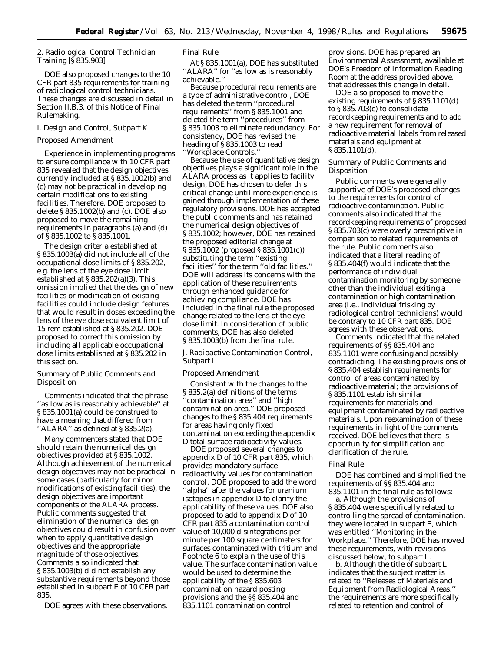2. Radiological Control Technician Training [§ 835.903]

DOE also proposed changes to the 10 CFR part 835 requirements for training of radiological control technicians. These changes are discussed in detail in Section II.B.3. of this Notice of Final Rulemaking.

# *I. Design and Control, Subpart K*

#### Proposed Amendment

Experience in implementing programs to ensure compliance with 10 CFR part 835 revealed that the design objectives currently included at § 835.1002(b) and (c) may not be practical in developing certain modifications to existing facilities. Therefore, DOE proposed to delete § 835.1002(b) and (c). DOE also proposed to move the remaining requirements in paragraphs (a) and (d) of § 835.1002 to § 835.1001.

The design criteria established at § 835.1003(a) did not include all of the occupational dose limits of § 835.202, e.g. the lens of the eye dose limit established at § 835.202(a)(3). This omission implied that the design of new facilities or modification of existing facilities could include design features that would result in doses exceeding the lens of the eye dose equivalent limit of 15 rem established at § 835.202. DOE proposed to correct this omission by including all applicable occupational dose limits established at § 835.202 in this section.

Summary of Public Comments and Disposition

Comments indicated that the phrase ''as low as is reasonably achievable'' at § 835.1001(a) could be construed to have a meaning that differed from ''ALARA'' as defined at § 835.2(a).

Many commenters stated that DOE should retain the numerical design objectives provided at § 835.1002. Although achievement of the numerical design objectives may not be practical in some cases (particularly for minor modifications of existing facilities), the design objectives are important components of the ALARA process. Public comments suggested that elimination of the numerical design objectives could result in confusion over when to apply quantitative design objectives and the appropriate magnitude of those objectives. Comments also indicated that § 835.1003(b) did not establish any substantive requirements beyond those established in subpart E of 10 CFR part 835.

DOE agrees with these observations.

# Final Rule

At § 835.1001(a), DOE has substituted "ALARA" for "as low as is reasonably achievable.''

Because procedural requirements are a type of administrative control, DOE has deleted the term ''procedural requirements'' from § 835.1001 and deleted the term ''procedures'' from § 835.1003 to eliminate redundancy. For consistency, DOE has revised the heading of § 835.1003 to read ''Workplace Controls.''

Because the use of quantitative design objectives plays a significant role in the ALARA process as it applies to facility design, DOE has chosen to defer this critical change until more experience is gained through implementation of these regulatory provisions. DOE has accepted the public comments and has retained the numerical design objectives of § 835.1002; however, DOE has retained the proposed editorial change at § 835.1002 (proposed § 835.1001(c)) substituting the term ''existing facilities'' for the term ''old facilities.'' DOE will address its concerns with the application of these requirements through enhanced guidance for achieving compliance. DOE has included in the final rule the proposed change related to the lens of the eye dose limit. In consideration of public comments, DOE has also deleted § 835.1003(b) from the final rule.

# *J. Radioactive Contamination Control, Subpart L*

#### Proposed Amendment

Consistent with the changes to the § 835.2(a) definitions of the terms ''contamination area'' and ''high contamination area,'' DOE proposed changes to the § 835.404 requirements for areas having only fixed contamination exceeding the appendix D total surface radioactivity values.

DOE proposed several changes to appendix D of 10 CFR part 835, which provides mandatory surface radioactivity values for contamination control. DOE proposed to add the word ''alpha'' after the values for uranium isotopes in appendix D to clarify the applicability of these values. DOE also proposed to add to appendix D of 10 CFR part 835 a contamination control value of 10,000 disintegrations per minute per 100 square centimeters for surfaces contaminated with tritium and Footnote 6 to explain the use of this value. The surface contamination value would be used to determine the applicability of the § 835.603 contamination hazard posting provisions and the §§ 835.404 and 835.1101 contamination control

provisions. DOE has prepared an Environmental Assessment, available at DOE's Freedom of Information Reading Room at the address provided above, that addresses this change in detail.

DOE also proposed to move the existing requirements of § 835.1101(d) to § 835.703(c) to consolidate recordkeeping requirements and to add a new requirement for removal of radioactive material labels from released materials and equipment at § 835.1101(d).

Summary of Public Comments and Disposition

Public comments were generally supportive of DOE's proposed changes to the requirements for control of radioactive contamination. Public comments also indicated that the recordkeeping requirements of proposed § 835.703(c) were overly prescriptive in comparison to related requirements of the rule. Public comments also indicated that a literal reading of § 835.404(f) would indicate that the performance of individual contamination monitoring by someone other than the individual exiting a contamination or high contamination area (i.e., individual frisking by radiological control technicians) would be contrary to 10 CFR part 835. DOE agrees with these observations.

Comments indicated that the related requirements of §§ 835.404 and 835.1101 were confusing and possibly contradicting. The existing provisions of § 835.404 establish requirements for control of areas contaminated by radioactive material; the provisions of § 835.1101 establish similar requirements for materials and equipment contaminated by radioactive materials. Upon reexamination of these requirements in light of the comments received, DOE believes that there is opportunity for simplification and clarification of the rule.

# Final Rule

DOE has combined and simplified the requirements of §§ 835.404 and 835.1101 in the final rule as follows:

a. Although the provisions of § 835.404 were specifically related to controlling the spread of contamination, they were located in subpart E, which was entitled ''Monitoring in the Workplace.'' Therefore, DOE has moved these requirements, with revisions discussed below, to subpart L.

b. Although the title of subpart L indicates that the subject matter is related to ''Releases of Materials and Equipment from Radiological Areas,'' the requirements are more specifically related to retention and control of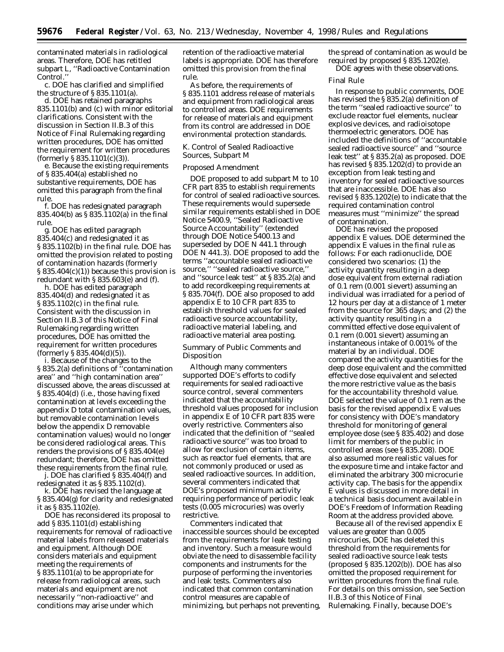contaminated materials in radiological areas. Therefore, DOE has retitled subpart L, ''Radioactive Contamination Control.''

c. DOE has clarified and simplified the structure of  $\S 835.1101(a)$ .

d. DOE has retained paragraphs 835.1101(b) and (c) with minor editorial clarifications. Consistent with the discussion in Section II.B.3 of this Notice of Final Rulemaking regarding written procedures, DOE has omitted the requirement for written procedures (formerly § 835.1101(c)(3)).

e. Because the existing requirements of § 835.404(a) established no substantive requirements, DOE has omitted this paragraph from the final rule.

f. DOE has redesignated paragraph 835.404(b) as § 835.1102(a) in the final rule.

g. DOE has edited paragraph 835.404(c) and redesignated it as § 835.1102(b) in the final rule. DOE has omitted the provision related to posting of contamination hazards (formerly § 835.404(c)(1)) because this provision is redundant with § 835.603(e) and (f).

h. DOE has edited paragraph 835.404(d) and redesignated it as § 835.1102(c) in the final rule. Consistent with the discussion in Section II.B.3 of this Notice of Final Rulemaking regarding written procedures, DOE has omitted the requirement for written procedures (formerly  $\S 835.404(d)(5)$ ).

i. Because of the changes to the § 835.2(a) definitions of ''contamination area'' and ''high contamination area'' discussed above, the areas discussed at § 835.404(d) (i.e., those having fixed contamination at levels exceeding the appendix D total contamination values, but removable contamination levels below the appendix D removable contamination values) would no longer be considered radiological areas. This renders the provisions of § 835.404(e) redundant; therefore, DOE has omitted these requirements from the final rule.

j. DOE has clarified § 835.404(f) and redesignated it as § 835.1102(d).

k. DOE has revised the language at § 835.404(g) for clarity and redesignated it as § 835.1102(e).

DOE has reconsidered its proposal to add § 835.1101(d) establishing requirements for removal of radioactive material labels from released materials and equipment. Although DOE considers materials and equipment meeting the requirements of § 835.1101(a) to be appropriate for release from radiological areas, such materials and equipment are not necessarily ''non-radioactive'' and conditions may arise under which

retention of the radioactive material labels is appropriate. DOE has therefore omitted this provision from the final rule.

As before, the requirements of § 835.1101 address release of materials and equipment from radiological areas to controlled areas. DOE requirements for release of materials and equipment from its control are addressed in DOE environmental protection standards.

# *K. Control of Sealed Radioactive Sources, Subpart M*

# Proposed Amendment

DOE proposed to add subpart M to 10 CFR part 835 to establish requirements for control of sealed radioactive sources. These requirements would supersede similar requirements established in DOE Notice 5400.9, ''Sealed Radioactive Source Accountability'' (extended through DOE Notice 5400.13 and superseded by DOE N 441.1 through DOE N 441.3). DOE proposed to add the terms ''accountable sealed radioactive source,'' ''sealed radioactive source,'' and ''source leak test'' at § 835.2(a) and to add recordkeeping requirements at § 835.704(f). DOE also proposed to add appendix E to 10 CFR part 835 to establish threshold values for sealed radioactive source accountability, radioactive material labeling, and radioactive material area posting.

# Summary of Public Comments and Disposition

Although many commenters supported DOE's efforts to codify requirements for sealed radioactive source control, several commenters indicated that the accountability threshold values proposed for inclusion in appendix E of 10 CFR part 835 were overly restrictive. Commenters also indicated that the definition of ''sealed radioactive source'' was too broad to allow for exclusion of certain items, such as reactor fuel elements, that are not commonly produced or used as sealed radioactive sources. In addition, several commenters indicated that DOE's proposed minimum activity requiring performance of periodic leak tests (0.005 microcuries) was overly restrictive.

Commenters indicated that inaccessible sources should be excepted from the requirements for leak testing and inventory. Such a measure would obviate the need to disassemble facility components and instruments for the purpose of performing the inventories and leak tests. Commenters also indicated that common contamination control measures are capable of minimizing, but perhaps not preventing,

the spread of contamination as would be required by proposed § 835.1202(e). DOE agrees with these observations.

#### Final Rule

In response to public comments, DOE has revised the § 835.2(a) definition of the term ''sealed radioactive source'' to exclude reactor fuel elements, nuclear explosive devices, and radioisotope thermoelectric generators. DOE has included the definitions of ''accountable sealed radioactive source'' and ''source leak test'' at § 835.2(a) as proposed. DOE has revised § 835.1202(d) to provide an exception from leak testing and inventory for sealed radioactive sources that are inaccessible. DOE has also revised § 835.1202(e) to indicate that the required contamination control measures must ''minimize'' the spread of contamination.

DOE has revised the proposed appendix E values. DOE determined the appendix E values in the final rule as follows: For each radionuclide, DOE considered two scenarios: (1) the activity quantity resulting in a deep dose equivalent from external radiation of 0.1 rem (0.001 sievert) assuming an individual was irradiated for a period of 12 hours per day at a distance of 1 meter from the source for 365 days; and (2) the activity quantity resulting in a committed effective dose equivalent of 0.1 rem (0.001 sievert) assuming an instantaneous intake of 0.001% of the material by an individual. DOE compared the activity quantities for the deep dose equivalent and the committed effective dose equivalent and selected the more restrictive value as the basis for the accountability threshold value. DOE selected the value of 0.1 rem as the basis for the revised appendix E values for consistency with DOE's mandatory threshold for monitoring of general employee dose (see § 835.402) and dose limit for members of the public in controlled areas (see § 835.208). DOE also assumed more realistic values for the exposure time and intake factor and eliminated the arbitrary 300 microcurie activity cap. The basis for the appendix E values is discussed in more detail in a technical basis document available in DOE's Freedom of Information Reading Room at the address provided above.

Because all of the revised appendix E values are greater than 0.005 microcuries, DOE has deleted this threshold from the requirements for sealed radioactive source leak tests (proposed § 835.1202(b)). DOE has also omitted the proposed requirement for written procedures from the final rule. For details on this omission, see Section II.B.3 of this Notice of Final Rulemaking. Finally, because DOE's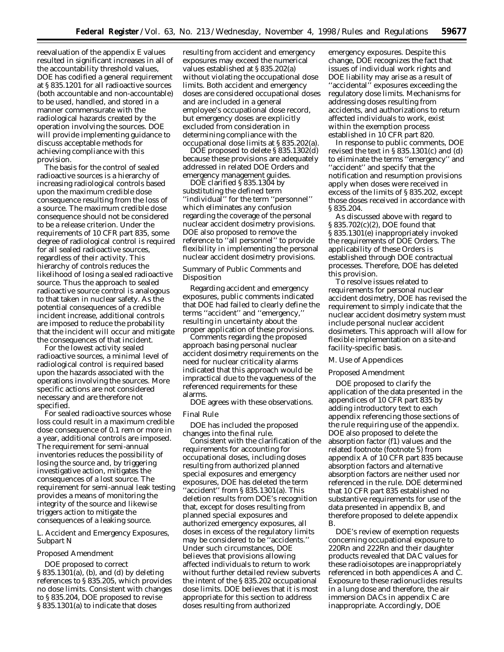reevaluation of the appendix E values resulted in significant increases in all of the accountability threshold values, DOE has codified a general requirement at § 835.1201 for all radioactive sources (both accountable and non-accountable) to be used, handled, and stored in a manner commensurate with the radiological hazards created by the operation involving the sources. DOE will provide implementing guidance to discuss acceptable methods for achieving compliance with this provision.

The basis for the control of sealed radioactive sources is a hierarchy of increasing radiological controls based upon the maximum credible dose consequence resulting from the loss of a source. The maximum credible dose consequence should not be considered to be a release criterion. Under the requirements of 10 CFR part 835, some degree of radiological control is required for all sealed radioactive sources, regardless of their activity. This hierarchy of controls reduces the likelihood of losing a sealed radioactive source. Thus the approach to sealed radioactive source control is analogous to that taken in nuclear safety. As the potential consequences of a credible incident increase, additional controls are imposed to reduce the probability that the incident will occur and mitigate the consequences of that incident.

For the lowest activity sealed radioactive sources, a minimal level of radiological control is required based upon the hazards associated with the operations involving the sources. More specific actions are not considered necessary and are therefore not specified.

For sealed radioactive sources whose loss could result in a maximum credible dose consequence of 0.1 rem or more in a year, additional controls are imposed. The requirement for semi-annual inventories reduces the possibility of losing the source and, by triggering investigative action, mitigates the consequences of a lost source. The requirement for semi-annual leak testing provides a means of monitoring the integrity of the source and likewise triggers action to mitigate the consequences of a leaking source.

# *L. Accident and Emergency Exposures, Subpart N*

#### Proposed Amendment

DOE proposed to correct § 835.1301(a), (b), and (d) by deleting references to § 835.205, which provides no dose limits. Consistent with changes to § 835.204, DOE proposed to revise § 835.1301(a) to indicate that doses

resulting from accident and emergency exposures may exceed the numerical values established at § 835.202(a) without violating the occupational dose limits. Both accident and emergency doses are considered occupational doses and are included in a general employee's occupational dose record, but emergency doses are explicitly excluded from consideration in determining compliance with the occupational dose limits at § 835.202(a).

DOE proposed to delete § 835.1302(d) because these provisions are adequately addressed in related DOE Orders and emergency management guides.

DOE clarified § 835.1304 by substituting the defined term ''individual'' for the term ''personnel'' which eliminates any confusion regarding the coverage of the personal nuclear accident dosimetry provisions. DOE also proposed to remove the reference to ''all personnel'' to provide flexibility in implementing the personal nuclear accident dosimetry provisions.

# *Summary of Public Comments and Disposition*

Regarding accident and emergency exposures, public comments indicated that DOE had failed to clearly define the terms ''accident'' and ''emergency,'' resulting in uncertainty about the proper application of these provisions.

Comments regarding the proposed approach basing personal nuclear accident dosimetry requirements on the need for nuclear criticality alarms indicated that this approach would be impractical due to the vagueness of the referenced requirements for these alarms.

DOE agrees with these observations.

#### Final Rule

DOE has included the proposed changes into the final rule.

Consistent with the clarification of the requirements for accounting for occupational doses, including doses resulting from authorized planned special exposures and emergency exposures, DOE has deleted the term "accident" from § 835.1301(a). This deletion results from DOE's recognition that, except for doses resulting from planned special exposures and authorized emergency exposures, all doses in excess of the regulatory limits may be considered to be ''accidents.'' Under such circumstances, DOE believes that provisions allowing affected individuals to return to work without further detailed review subverts the intent of the § 835.202 occupational dose limits. DOE believes that it is most appropriate for this section to address doses resulting from authorized

emergency exposures. Despite this change, DOE recognizes the fact that issues of individual work rights and DOE liability may arise as a result of ''accidental'' exposures exceeding the regulatory dose limits. Mechanisms for addressing doses resulting from accidents, and authorizations to return affected individuals to work, exist within the exemption process established in 10 CFR part 820.

In response to public comments, DOE revised the text in § 835.1301(c) and (d) to eliminate the terms ''emergency'' and ''accident'' and specify that the notification and resumption provisions apply when doses were received in excess of the limits of § 835.202, except those doses received in accordance with § 835.204.

As discussed above with regard to § 835.702(c)(2), DOE found that § 835.1301(e) inappropriately invoked the requirements of DOE Orders. The applicability of these Orders is established through DOE contractual processes. Therefore, DOE has deleted this provision.

To resolve issues related to requirements for personal nuclear accident dosimetry, DOE has revised the requirement to simply indicate that the nuclear accident dosimetry system must include personal nuclear accident dosimeters. This approach will allow for flexible implementation on a site-and facility-specific basis.

# *M. Use of Appendices*

#### Proposed Amendment

DOE proposed to clarify the application of the data presented in the appendices of 10 CFR part 835 by adding introductory text to each appendix referencing those sections of the rule requiring use of the appendix. DOE also proposed to delete the absorption factor (f1) values and the related footnote (footnote 5) from appendix A of 10 CFR part 835 because absorption factors and alternative absorption factors are neither used nor referenced in the rule. DOE determined that 10 CFR part 835 established no substantive requirements for use of the data presented in appendix B, and therefore proposed to delete appendix B.

DOE's review of exemption requests concerning occupational exposure to 220Rn and 222Rn and their daughter products revealed that DAC values for these radioisotopes are inappropriately referenced in both appendices A and C. Exposure to these radionuclides results in a lung dose and therefore, the air immersion DACs in appendix C are inappropriate. Accordingly, DOE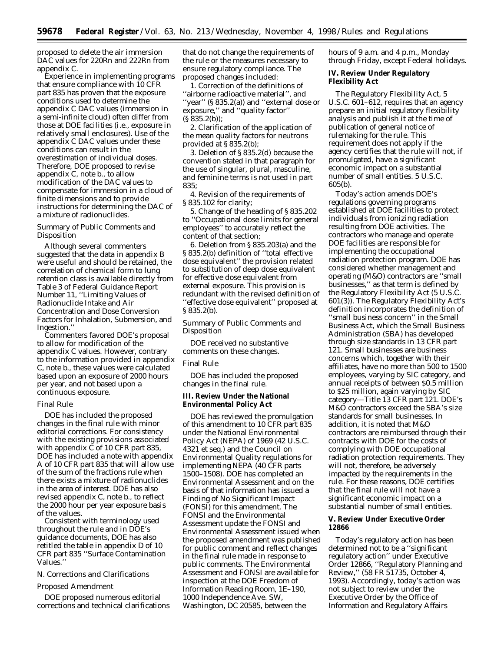proposed to delete the air immersion DAC values for 220Rn and 222Rn from appendix C.

Experience in implementing programs that ensure compliance with 10 CFR part 835 has proven that the exposure conditions used to determine the appendix C DAC values (immersion in a semi-infinite cloud) often differ from those at DOE facilities (i.e., exposure in relatively small enclosures). Use of the appendix C DAC values under these conditions can result in the overestimation of individual doses. Therefore, DOE proposed to revise appendix C, note b., to allow modification of the DAC values to compensate for immersion in a cloud of finite dimensions and to provide instructions for determining the DAC of a mixture of radionuclides.

# Summary of Public Comments and Disposition

Although several commenters suggested that the data in appendix B were useful and should be retained, the correlation of chemical form to lung retention class is available directly from Table 3 of Federal Guidance Report Number 11, ''Limiting Values of Radionuclide Intake and Air Concentration and Dose Conversion Factors for Inhalation, Submersion, and Ingestion.''

Commenters favored DOE's proposal to allow for modification of the appendix C values. However, contrary to the information provided in appendix C, note b., these values were calculated based upon an exposure of 2000 hours per year, and not based upon a continuous exposure.

### Final Rule

DOE has included the proposed changes in the final rule with minor editorial corrections. For consistency with the existing provisions associated with appendix C of 10 CFR part 835, DOE has included a note with appendix A of 10 CFR part 835 that will allow use of the sum of the fractions rule when there exists a mixture of radionuclides in the area of interest. DOE has also revised appendix C, note b., to reflect the 2000 hour per year exposure basis of the values.

Consistent with terminology used throughout the rule and in DOE's guidance documents, DOE has also retitled the table in appendix D of 10 CFR part 835 ''Surface Contamination Values.''

# *N. Corrections and Clarifications*

### Proposed Amendment

DOE proposed numerous editorial corrections and technical clarifications

that do not change the requirements of the rule or the measures necessary to ensure regulatory compliance. The proposed changes included:

1. Correction of the definitions of ''airborne radioactive material'', and ''year'' (§ 835.2(a)) and ''external dose or exposure,'' and ''quality factor''  $(S 835.2(b))$ ;

2. Clarification of the application of the mean quality factors for neutrons provided at § 835.2(b);

3. Deletion of § 835.2(d) because the convention stated in that paragraph for the use of singular, plural, masculine, and feminine terms is not used in part 835;

4. Revision of the requirements of § 835.102 for clarity;

5. Change of the heading of § 835.202 to ''Occupational dose limits for general employees'' to accurately reflect the content of that section;

6. Deletion from § 835.203(a) and the § 835.2(b) definition of ''total effective dose equivalent'' the provision related to substitution of deep dose equivalent for effective dose equivalent from external exposure. This provision is redundant with the revised definition of ''effective dose equivalent'' proposed at § 835.2(b).

Summary of Public Comments and Disposition

DOE received no substantive comments on these changes.

#### Final Rule

DOE has included the proposed changes in the final rule.

# **III. Review Under the National Environmental Policy Act**

DOE has reviewed the promulgation of this amendment to 10 CFR part 835 under the National Environmental Policy Act (NEPA) of 1969 (42 U.S.C. 4321 *et seq.*) and the Council on Environmental Quality regulations for implementing NEPA (40 CFR parts 1500–1508). DOE has completed an Environmental Assessment and on the basis of that information has issued a Finding of No Significant Impact (FONSI) for this amendment. The FONSI and the Environmental Assessment update the FONSI and Environmental Assessment issued when the proposed amendment was published for public comment and reflect changes in the final rule made in response to public comments. The Environmental Assessment and FONSI are available for inspection at the DOE Freedom of Information Reading Room, 1E–190, 1000 Independence Ave. SW, Washington, DC 20585, between the

hours of 9 a.m. and 4 p.m., Monday through Friday, except Federal holidays.

# **IV. Review Under Regulatory Flexibility Act**

The Regulatory Flexibility Act, 5 U.S.C. 601–612, requires that an agency prepare an initial regulatory flexibility analysis and publish it at the time of publication of general notice of rulemaking for the rule. This requirement does not apply if the agency certifies that the rule will not, if promulgated, have a significant economic impact on a substantial number of small entities. 5 U.S.C. 605(b).

Today's action amends DOE's regulations governing programs established at DOE facilities to protect individuals from ionizing radiation resulting from DOE activities. The contractors who manage and operate DOE facilities are responsible for implementing the occupational radiation protection program. DOE has considered whether management and operating (M&O) contractors are ''small businesses,'' as that term is defined by the Regulatory Flexibility Act (5 U.S.C. 601(3)). The Regulatory Flexibility Act's definition incorporates the definition of ''small business concern'' in the Small Business Act, which the Small Business Administration (SBA) has developed through size standards in 13 CFR part 121. Small businesses are business concerns which, together with their affiliates, have no more than 500 to 1500 employees, varying by SIC category, and annual receipts of between \$0.5 million to \$25 million, again varying by SIC category—Title 13 CFR part 121. DOE's M&O contractors exceed the SBA's size standards for small businesses. In addition, it is noted that M&O contractors are reimbursed through their contracts with DOE for the costs of complying with DOE occupational radiation protection requirements. They will not, therefore, be adversely impacted by the requirements in the rule. For these reasons, DOE certifies that the final rule will not have a significant economic impact on a substantial number of small entities.

# **V. Review Under Executive Order 12866**

Today's regulatory action has been determined not to be a ''significant regulatory action'' under Executive Order 12866, ''Regulatory Planning and Review,'' (58 FR 51735, October 4, 1993). Accordingly, today's action was not subject to review under the Executive Order by the Office of Information and Regulatory Affairs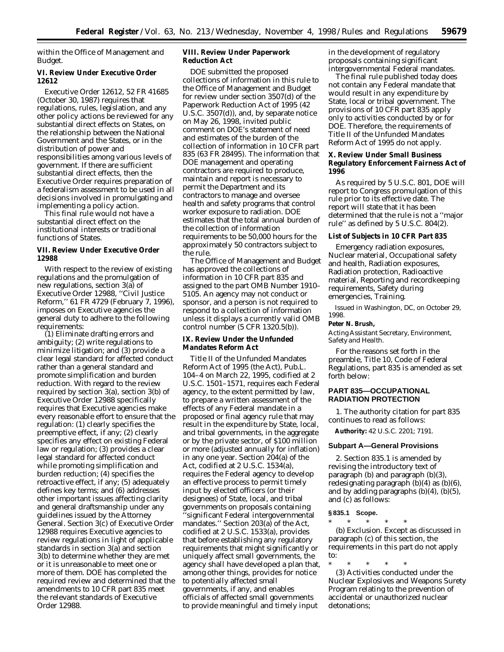within the Office of Management and Budget.

### **VI. Review Under Executive Order 12612**

Executive Order 12612, 52 FR 41685 (October 30, 1987) requires that regulations, rules, legislation, and any other policy actions be reviewed for any substantial direct effects on States, on the relationship between the National Government and the States, or in the distribution of power and responsibilities among various levels of government. If there are sufficient substantial direct effects, then the Executive Order requires preparation of a federalism assessment to be used in all decisions involved in promulgating and implementing a policy action.

This final rule would not have a substantial direct effect on the institutional interests or traditional functions of States.

# **VII. Review Under Executive Order 12988**

With respect to the review of existing regulations and the promulgation of new regulations, section 3(a) of Executive Order 12988, ''Civil Justice Reform,'' 61 FR 4729 (February 7, 1996), imposes on Executive agencies the general duty to adhere to the following requirements:

(1) Eliminate drafting errors and ambiguity; (2) write regulations to minimize litigation; and (3) provide a clear legal standard for affected conduct rather than a general standard and promote simplification and burden reduction. With regard to the review required by section 3(a), section 3(b) of Executive Order 12988 specifically requires that Executive agencies make every reasonable effort to ensure that the regulation: (1) clearly specifies the preemptive effect, if any; (2) clearly specifies any effect on existing Federal law or regulation; (3) provides a clear legal standard for affected conduct while promoting simplification and burden reduction; (4) specifies the retroactive effect, if any; (5) adequately defines key terms; and (6) addresses other important issues affecting clarity and general draftsmanship under any guidelines issued by the Attorney General. Section 3(c) of Executive Order 12988 requires Executive agencies to review regulations in light of applicable standards in section 3(a) and section 3(b) to determine whether they are met or it is unreasonable to meet one or more of them. DOE has completed the required review and determined that the amendments to 10 CFR part 835 meet the relevant standards of Executive Order 12988.

# **VIII. Review Under Paperwork Reduction Act**

DOE submitted the proposed collections of information in this rule to the Office of Management and Budget for review under section 3507(d) of the Paperwork Reduction Act of 1995 (42 U.S.C. 3507(d)), and, by separate notice on May 26, 1998, invited public comment on DOE's statement of need and estimates of the burden of the collection of information in 10 CFR part 835 (63 FR 28495). The information that DOE management and operating contractors are required to produce, maintain and report is necessary to permit the Department and its contractors to manage and oversee health and safety programs that control worker exposure to radiation. DOE estimates that the total annual burden of the collection of information requirements to be 50,000 hours for the approximately 50 contractors subject to the rule.

The Office of Management and Budget has approved the collections of information in 10 CFR part 835 and assigned to the part OMB Number 1910– 5105. An agency may not conduct or sponsor, and a person is not required to respond to a collection of information unless it displays a currently valid OMB control number (5 CFR 1320.5(b)).

# **IX. Review Under the Unfunded Mandates Reform Act**

Title II of the Unfunded Mandates Reform Act of 1995 (the Act), Pub.L. 104–4 on March 22, 1995, codified at 2 U.S.C. 1501–1571, requires each Federal agency, to the extent permitted by law, to prepare a written assessment of the effects of any Federal mandate in a proposed or final agency rule that may result in the expenditure by State, local, and tribal governments, in the aggregate or by the private sector, of \$100 million or more (adjusted annually for inflation) in any one year. Section 204(a) of the Act, codified at 2 U.S.C. 1534(a), requires the Federal agency to develop an effective process to permit timely input by elected officers (or their designees) of State, local, and tribal governments on proposals containing ''significant Federal intergovernmental mandates.'' Section 203(a) of the Act, codified at 2 U.S.C. 1533(a), provides that before establishing any regulatory requirements that might significantly or uniquely affect small governments, the agency shall have developed a plan that, among other things, provides for notice to potentially affected small governments, if any, and enables officials of affected small governments to provide meaningful and timely input

in the development of regulatory proposals containing significant intergovernmental Federal mandates.

The final rule published today does not contain any Federal mandate that would result in any expenditure by State, local or tribal government. The provisions of 10 CFR part 835 apply only to activities conducted by or for DOE. Therefore, the requirements of Title II of the Unfunded Mandates Reform Act of 1995 do not apply.

# **X. Review Under Small Business Regulatory Enforcement Fairness Act of 1996**

As required by 5 U.S.C. 801, DOE will report to Congress promulgation of this rule prior to its effective date. The report will state that it has been determined that the rule is not a ''major rule'' as defined by 5 U.S.C. 804(2).

### **List of Subjects in 10 CFR Part 835**

Emergency radiation exposures, Nuclear material, Occupational safety and health, Radiation exposures, Radiation protection, Radioactive material, Reporting and recordkeeping requirements, Safety during emergencies, Training.

Issued in Washington, DC, on October 29, 1998.

#### **Peter N. Brush,**

*Acting Assistant Secretary, Environment, Safety and Health.*

For the reasons set forth in the preamble, Title 10, Code of Federal Regulations, part 835 is amended as set forth below:

# **PART 835—OCCUPATIONAL RADIATION PROTECTION**

1. The authority citation for part 835 continues to read as follows:

**Authority:** 42 U.S.C. 2201; 7191.

#### **Subpart A—General Provisions**

2. Section 835.1 is amended by revising the introductory text of paragraph (b) and paragraph (b)(3), redesignating paragraph (b)(4) as (b)(6), and by adding paragraphs (b)(4), (b)(5), and (c) as follows:

# **§ 835.1 Scope.**

\* \* \* \* \* (b) *Exclusion.* Except as discussed in paragraph (c) of this section, the requirements in this part do not apply to:

\* \* \* \* \*

(3) Activities conducted under the Nuclear Explosives and Weapons Surety Program relating to the prevention of accidental or unauthorized nuclear detonations;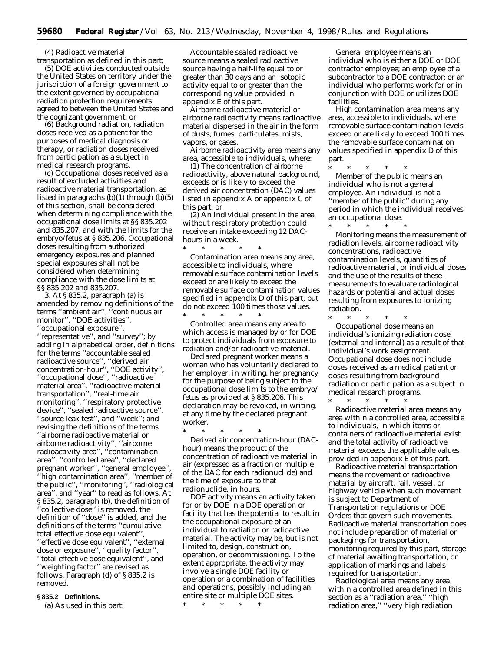(4) Radioactive material

transportation as defined in this part; (5) DOE activities conducted outside the United States on territory under the jurisdiction of a foreign government to the extent governed by occupational radiation protection requirements agreed to between the United States and the cognizant government; or

(6) Background radiation, radiation doses received as a patient for the purposes of medical diagnosis or therapy, or radiation doses received from participation as a subject in medical research programs.

(c) Occupational doses received as a result of excluded activities and radioactive material transportation, as listed in paragraphs  $(b)(1)$  through  $(b)(5)$ of this section, shall be considered when determining compliance with the occupational dose limits at §§ 835.202 and 835.207, and with the limits for the embryo/fetus at § 835.206. Occupational doses resulting from authorized emergency exposures and planned special exposures shall not be considered when determining compliance with the dose limits at §§ 835.202 and 835.207.

3. At § 835.2, paragraph (a) is amended by removing definitions of the terms ''ambient air'', ''continuous air monitor'', ''DOE activities'', ''occupational exposure'', ''representative'', and ''survey''; by adding in alphabetical order, definitions for the terms ''accountable sealed radioactive source'', ''derived air concentration-hour'', ''DOE activity'', ''occupational dose'', ''radioactive material area'', ''radioactive material transportation'', ''real-time air monitoring'', ''respiratory protective device'', ''sealed radioactive source'', ''source leak test'', and ''week''; and revising the definitions of the terms ''airborne radioactive material or airborne radioactivity'', ''airborne radioactivity area'', ''contamination area'', ''controlled area'', ''declared pregnant worker", "general employee" ''high contamination area'', ''member of the public'', ''monitoring'', ''radiological area'', and ''year'' to read as follows. At § 835.2, paragraph (b), the definition of ''collective dose'' is removed, the definition of ''dose'' is added, and the definitions of the terms ''cumulative total effective dose equivalent'', ''effective dose equivalent'', ''external dose or exposure'', ''quality factor'', ''total effective dose equivalent'', and ''weighting factor'' are revised as follows. Paragraph (d) of § 835.2 is removed.

# **§ 835.2 Definitions.**

(a) As used in this part:

*Accountable sealed radioactive source* means a sealed radioactive source having a half-life equal to or greater than 30 days and an isotopic activity equal to or greater than the corresponding value provided in appendix E of this part.

*Airborne radioactive material or airborne radioactivity* means radioactive material dispersed in the air in the form of dusts, fumes, particulates, mists, vapors, or gases.

*Airborne radioactivity area* means any area, accessible to individuals, where:

(1) The concentration of airborne radioactivity, above natural background, exceeds or is likely to exceed the derived air concentration (DAC) values listed in appendix A or appendix C of this part; or

(2) An individual present in the area without respiratory protection could receive an intake exceeding 12 DAChours in a week.<br> $*$ 

\* \* \* \* \* *Contamination area* means any area, accessible to individuals, where removable surface contamination levels exceed or are likely to exceed the removable surface contamination values specified in appendix D of this part, but do not exceed 100 times those values.

\* \* \* \* \* *Controlled area* means any area to which access is managed by or for DOE to protect individuals from exposure to radiation and/or radioactive material.

*Declared pregnant worker* means a woman who has voluntarily declared to her employer, in writing, her pregnancy for the purpose of being subject to the occupational dose limits to the embryo/ fetus as provided at § 835.206. This declaration may be revoked, in writing, at any time by the declared pregnant worker.

\* \* \* \* \* *Derived air concentration-hour (DAChour)* means the product of the concentration of radioactive material in air (expressed as a fraction or multiple of the DAC for each radionuclide) and the time of exposure to that radionuclide, in hours.

*DOE activity* means an activity taken for or by DOE in a DOE operation or facility that has the potential to result in the occupational exposure of an individual to radiation or radioactive material. The activity may be, but is not limited to, design, construction, operation, or decommissioning. To the extent appropriate, the activity may involve a single DOE facility or operation or a combination of facilities and operations, possibly including an entire site or multiple DOE sites.

\* \* \* \* \*

*General employee* means an individual who is either a DOE or DOE contractor employee; an employee of a subcontractor to a DOE contractor; or an individual who performs work for or in conjunction with DOE or utilizes DOE facilities.

*High contamination area* means any area, accessible to individuals, where removable surface contamination levels exceed or are likely to exceed 100 times the removable surface contamination values specified in appendix D of this part.

\* \* \* \* \* *Member of the public* means an individual who is not a general employee. An individual is not a ''member of the public'' during any period in which the individual receives an occupational dose.

\* \* \* \* \* *Monitoring* means the measurement of radiation levels, airborne radioactivity concentrations, radioactive contamination levels, quantities of radioactive material, or individual doses and the use of the results of these measurements to evaluate radiological hazards or potential and actual doses resulting from exposures to ionizing radiation.

\* \* \* \* \* *Occupational dose* means an individual's ionizing radiation dose (external and internal) as a result of that individual's work assignment. Occupational dose does not include doses received as a medical patient or doses resulting from background radiation or participation as a subject in medical research programs.

\* \* \* \* \* *Radioactive material area* means any area within a controlled area, accessible to individuals, in which items or containers of radioactive material exist and the total activity of radioactive material exceeds the applicable values provided in appendix E of this part.

*Radioactive material transportation* means the movement of radioactive material by aircraft, rail, vessel, or highway vehicle when such movement is subject to Department of Transportation regulations or DOE Orders that govern such movements. Radioactive material transportation does not include preparation of material or packagings for transportation, monitoring required by this part, storage of material awaiting transportation, or application of markings and labels required for transportation.

*Radiological area* means any area within a controlled area defined in this section as a "radiation area," "high radiation area,'' ''very high radiation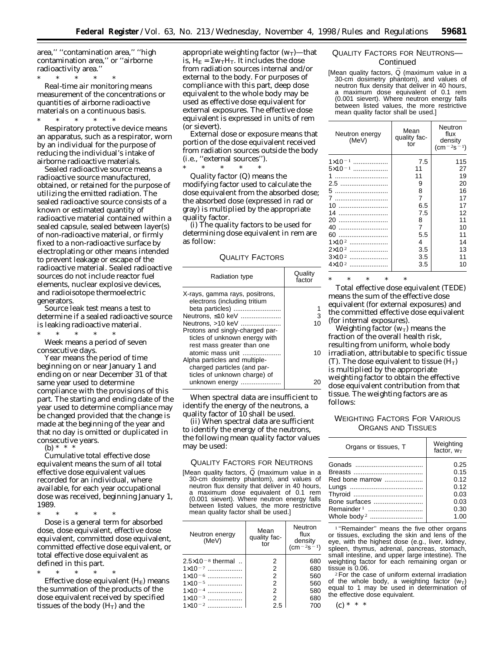area,'' ''contamination area,'' ''high contamination area,'' or ''airborne radioactivity area.''

\* \* \* \* \* *Real-time air monitoring* means measurement of the concentrations or quantities of airborne radioactive materials on a continuous basis.

\* \* \* \* \* *Respiratory protective device* means an apparatus, such as a respirator, worn by an individual for the purpose of reducing the individual's intake of airborne radioactive materials.

*Sealed radioactive source* means a radioactive source manufactured, obtained, or retained for the purpose of utilizing the emitted radiation. The sealed radioactive source consists of a known or estimated quantity of radioactive material contained within a sealed capsule, sealed between layer(s) of non-radioactive material, or firmly fixed to a non-radioactive surface by electroplating or other means intended to prevent leakage or escape of the radioactive material. Sealed radioactive sources do not include reactor fuel elements, nuclear explosive devices, and radioisotope thermoelectric generators.

*Source leak test* means a test to determine if a sealed radioactive source is leaking radioactive material. \* \* \* \* \*

*Week* means a period of seven consecutive days.

*Year* means the period of time beginning on or near January 1 and ending on or near December 31 of that same year used to determine compliance with the provisions of this part. The starting and ending date of the year used to determine compliance may be changed provided that the change is made at the beginning of the year and that no day is omitted or duplicated in consecutive years.

(b)  $*$ 

*Cumulative total effective dose equivalent* means the sum of all total effective dose equivalent values recorded for an individual, where available, for each year occupational dose was received, beginning January 1, 1989.

\* \* \* \* \* *Dose* is a general term for absorbed dose, dose equivalent, effective dose equivalent, committed dose equivalent, committed effective dose equivalent, or total effective dose equivalent as defined in this part.

\* \* \* \* \* *Effective dose equivalent* (H<sub>E</sub>) means the summation of the products of the dose equivalent received by specified tissues of the body  $(H_T)$  and the

appropriate weighting factor  $(w_T)$ —that is,  $H_E = \Sigma w_T H_T$ . It includes the dose from radiation sources internal and/or external to the body. For purposes of compliance with this part, deep dose equivalent to the whole body may be used as effective dose equivalent for external exposures. The effective dose equivalent is expressed in units of rem (or sievert).

*External dose or exposure* means that portion of the dose equivalent received from radiation sources outside the body (i.e., ''external sources'').

\* \* \* \* \*

*Quality factor (Q)* means the modifying factor used to calculate the dose equivalent from the absorbed dose; the absorbed dose (expressed in rad or gray) is multiplied by the appropriate quality factor.

(i) The quality factors to be used for determining dose equivalent in rem are as follow:

# QUALITY FACTORS

| Radiation type                                                                                                   | Quality<br>factor |
|------------------------------------------------------------------------------------------------------------------|-------------------|
| X-rays, gamma rays, positrons,<br>electrons (including tritium<br>beta particles)                                |                   |
| Neutrons, ≤10 keV                                                                                                | 3                 |
| Neutrons, >10 keV                                                                                                | 10                |
| Protons and singly-charged par-<br>ticles of unknown energy with<br>rest mass greater than one                   |                   |
| atomic mass unit<br>Alpha particles and multiple-<br>charged particles (and par-<br>ticles of unknown charge) of | 10                |
| unknown energy                                                                                                   |                   |

When spectral data are insufficient to identify the energy of the neutrons, a quality factor of 10 shall be used.

(ii) When spectral data are sufficient to identify the energy of the neutrons, the following mean quality factor values may be used:

### QUALITY FACTORS FOR NEUTRONS

[Mean quality factors, Q (maximum value in a 30-cm dosimetry phantom), and values of neutron flux density that deliver in 40 hours, maximum dose equivalent of 0.1 rem (0.001 sievert). Where neutron energy falls between listed values, the more restrictive mean quality factor shall be used.]

| Neutron energy<br>(MeV)      | Mean<br>quality fac-<br>tor | Neutron<br>flux<br>density<br>$(\text{cm}^{-2}\text{s}^{-1})$ |  |
|------------------------------|-----------------------------|---------------------------------------------------------------|--|
| $2.5 \times 10^{-8}$ thermal | 2                           | 680                                                           |  |
| $1 \times 10^{-7}$           | $\overline{2}$              | 680                                                           |  |
| $1 \times 10^{-6}$           | $\overline{2}$              | 560                                                           |  |
| $1 \times 10^{-5}$           | $\overline{2}$              | 560                                                           |  |
| $1 \times 10^{-4}$           | $\overline{2}$              | 580                                                           |  |
| $1 \times 10^{-3}$           | $\overline{2}$              | 680                                                           |  |
| $1 \times 10^{-2}$           | 2.5                         | 700                                                           |  |

# QUALITY FACTORS FOR NEUTRONS— **Continued**

[Mean quality factors, Q (maximum value in a 30-cm dosimetry phantom), and values of neutron flux density that deliver in 40 hours, a maximum dose equivalent of 0.1 rem (0.001 sievert). Where neutron energy falls between listed values, the more restrictive mean quality factor shall be used.]

| Neutron energy<br>(MeV) | Mean<br>quality fac-<br>tor | Neutron<br>flux<br>density<br>$\rm (cm^{-2}s^{-1})$ |  |
|-------------------------|-----------------------------|-----------------------------------------------------|--|
| $1 \times 10^{-1}$      | 7.5                         | 115                                                 |  |
| $5 \times 10^{-1}$      | 11                          | 27                                                  |  |
| 1                       | 11                          | 19                                                  |  |
| 2.5                     | 9                           | 20                                                  |  |
|                         | 8                           | 16                                                  |  |
| 7                       | $\overline{7}$              | 17                                                  |  |
| 10                      | 6.5                         | 17                                                  |  |
| 14                      | 7.5                         | 12                                                  |  |
| 20                      | 8                           | 11                                                  |  |
| 40                      | $\overline{7}$              | 10                                                  |  |
| 60                      | 5.5                         | 11                                                  |  |
| $1 \times 10^{2}$       | 4                           | 14                                                  |  |
| $2\times10^2$           | 3.5                         | 13                                                  |  |
| $3\times10^2$<br>       | 3.5                         | 11                                                  |  |
| $4\times10^2$           | 3.5                         | 10                                                  |  |

\* \* \* \* \* *Total effective dose equivalent* (TEDE) means the sum of the effective dose equivalent (for external exposures) and the committed effective dose equivalent (for internal exposures).

*Weighting factor*  $(w_T)$  means the fraction of the overall health risk, resulting from uniform, whole body irradiation, attributable to specific tissue (T). The dose equivalent to tissue  $(H_T)$ is multiplied by the appropriate weighting factor to obtain the effective dose equivalent contribution from that tissue. The weighting factors are as follows:

# WEIGHTING FACTORS FOR VARIOUS ORGANS AND TISSUES

| Organs or tissues, T | Weighting<br>factor, $w_T$ |
|----------------------|----------------------------|
|                      | 0.25                       |
|                      | 0.15                       |
| Red bone marrow      | 0.12                       |
|                      | 0.12                       |
|                      | 0.03                       |
| Bone surfaces        | 0.03                       |
|                      | 0.30                       |
|                      | 1.00                       |

<sup>1</sup> "Remainder" means the five other organs or tissues, excluding the skin and lens of the eye, with the highest dose (e.g., liver, kidney, spleen, thymus, adrenal, pancreas, stomach, small intestine, and upper large intestine). The weighting factor for each remaining organ or tissue is 0.06.

 $2$  For the case of uniform external irradiation of the whole body, a weighting factor  $(w_T)$ equal to 1 may be used in determination of the effective dose equivalent.

 $(c) * * * *$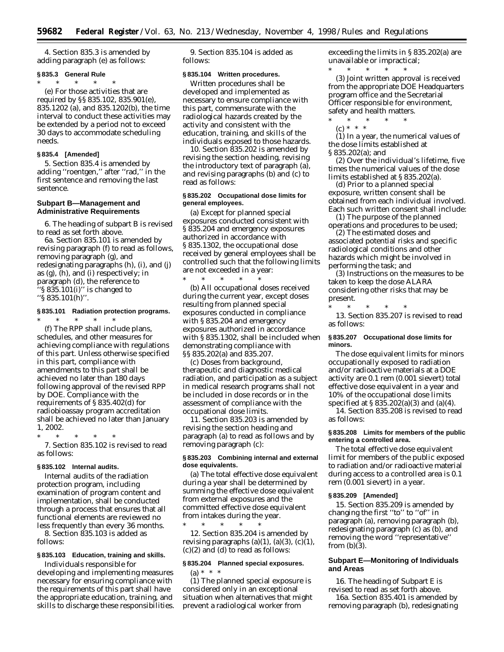4. Section 835.3 is amended by adding paragraph (e) as follows:

#### **§ 835.3 General Rule**

\* \* \* \* \*

(e) For those activities that are required by §§ 835.102, 835.901(e), 835.1202 (a), and 835.1202(b), the time interval to conduct these activities may be extended by a period not to exceed 30 days to accommodate scheduling needs.

# **§ 835.4 [Amended]**

5. Section 835.4 is amended by adding ''roentgen,'' after ''rad,'' in the first sentence and removing the last sentence.

# **Subpart B—Management and Administrative Requirements**

6. The heading of subpart B is revised to read as set forth above.

6a. Section 835.101 is amended by revising paragraph (f) to read as follows, removing paragraph (g), and redesignating paragraphs (h), (i), and (j) as (g), (h), and (i) respectively; in paragraph (d), the reference to  $\sqrt{8835.101(i)}$  is changed to ''§ 835.101(h)''.

# **§ 835.101 Radiation protection programs.**

\* \* \* \* \* (f) The RPP shall include plans, schedules, and other measures for achieving compliance with regulations of this part. Unless otherwise specified in this part, compliance with amendments to this part shall be achieved no later than 180 days following approval of the revised RPP by DOE. Compliance with the requirements of § 835.402(d) for radiobioassay program accreditation shall be achieved no later than January 1, 2002.

\* \* \* \* \* 7. Section 835.102 is revised to read as follows:

#### **§ 835.102 Internal audits.**

Internal audits of the radiation protection program, including examination of program content and implementation, shall be conducted through a process that ensures that all functional elements are reviewed no less frequently than every 36 months.

8. Section 835.103 is added as follows:

# **§ 835.103 Education, training and skills.**

Individuals responsible for developing and implementing measures necessary for ensuring compliance with the requirements of this part shall have the appropriate education, training, and skills to discharge these responsibilities.

9. Section 835.104 is added as follows:

### **§ 835.104 Written procedures.**

Written procedures shall be developed and implemented as necessary to ensure compliance with this part, commensurate with the radiological hazards created by the activity and consistent with the education, training, and skills of the individuals exposed to those hazards.

10. Section 835.202 is amended by revising the section heading, revising the introductory text of paragraph (a), and revising paragraphs (b) and (c) to read as follows:

# **§ 835.202 Occupational dose limits for general employees.**

(a) Except for planned special exposures conducted consistent with § 835.204 and emergency exposures authorized in accordance with § 835.1302, the occupational dose received by general employees shall be controlled such that the following limits are not exceeded in a year:

\* \* \* \* \* (b) All occupational doses received during the current year, except doses resulting from planned special exposures conducted in compliance with § 835.204 and emergency exposures authorized in accordance with § 835.1302, shall be included when demonstrating compliance with §§ 835.202(a) and 835.207.

(c) Doses from background, therapeutic and diagnostic medical radiation, and participation as a subject in medical research programs shall not be included in dose records or in the assessment of compliance with the occupational dose limits.

11. Section 835.203 is amended by revising the section heading and paragraph (a) to read as follows and by removing paragraph (c):

# **§ 835.203 Combining internal and external dose equivalents.**

(a) The total effective dose equivalent during a year shall be determined by summing the effective dose equivalent from external exposures and the committed effective dose equivalent from intakes during the year.<br>  $\ast$   $\quad \ \ast$   $\quad \ \ast$   $\quad \ \ast$ 

\* \* \* \* \* 12. Section 835.204 is amended by revising paragraphs  $(a)(1)$ ,  $(a)(3)$ ,  $(c)(1)$ ,  $(c)(2)$  and  $(d)$  to read as follows:

# **§ 835.204 Planned special exposures.**  $(a) * * * *$

(1) The planned special exposure is considered only in an exceptional situation when alternatives that might prevent a radiological worker from

exceeding the limits in § 835.202(a) are unavailable or impractical;

\* \* \* \* \* (3) Joint written approval is received from the appropriate DOE Headquarters program office and the Secretarial Officer responsible for environment, safety and health matters.

- \* \* \* \* \*
	- (c) \* \* \*

(1) In a year, the numerical values of the dose limits established at § 835.202(a); and

(2) Over the individual's lifetime, five times the numerical values of the dose limits established at § 835.202(a).

(d) Prior to a planned special exposure, written consent shall be obtained from each individual involved. Each such written consent shall include:

(1) The purpose of the planned operations and procedures to be used;

(2) The estimated doses and associated potential risks and specific radiological conditions and other hazards which might be involved in performing the task; and

(3) Instructions on the measures to be taken to keep the dose ALARA considering other risks that may be present.

\* \* \* \* \* 13. Section 835.207 is revised to read as follows:

# **§ 835.207 Occupational dose limits for minors.**

The dose equivalent limits for minors occupationally exposed to radiation and/or radioactive materials at a DOE activity are 0.1 rem (0.001 sievert) total effective dose equivalent in a year and 10% of the occupational dose limits specified at § 835.202(a)(3) and (a)(4).

14. Section 835.208 is revised to read as follows:

# **§ 835.208 Limits for members of the public entering a controlled area.**

The total effective dose equivalent limit for members of the public exposed to radiation and/or radioactive material during access to a controlled area is 0.1 rem (0.001 sievert) in a year.

#### **§ 835.209 [Amended]**

15. Section 835.209 is amended by changing the first ''to'' to ''of'' in paragraph (a), removing paragraph (b), redesignating paragraph (c) as (b), and removing the word ''representative'' from  $(b)(3)$ .

# **Subpart E—Monitoring of Individuals and Areas**

16. The heading of Subpart E is revised to read as set forth above.

16a. Section 835.401 is amended by removing paragraph (b), redesignating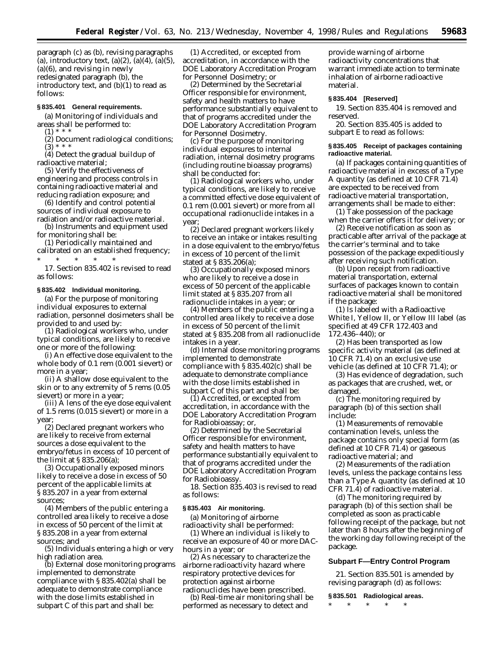paragraph (c) as (b), revising paragraphs (a), introductory text,  $(a)(2)$ ,  $(a)(4)$ ,  $(a)(5)$ , (a)(6), and revising in newly redesignated paragraph (b), the introductory text, and (b)(1) to read as follows:

### **§ 835.401 General requirements.**

(a) Monitoring of individuals and areas shall be performed to:  $(1) * * *$ 

(2) Document radiological conditions;  $(3) * *$ 

(4) Detect the gradual buildup of radioactive material;

(5) Verify the effectiveness of engineering and process controls in containing radioactive material and reducing radiation exposure; and

(6) Identify and control potential sources of individual exposure to radiation and/or radioactive material.

(b) Instruments and equipment used for monitoring shall be:

(1) Periodically maintained and calibrated on an established frequency;

\* \* \* \* \* 17. Section 835.402 is revised to read as follows:

### **§ 835.402 Individual monitoring.**

(a) For the purpose of monitoring individual exposures to external radiation, personnel dosimeters shall be provided to and used by:

(1) Radiological workers who, under typical conditions, are likely to receive one or more of the following:

(i) An effective dose equivalent to the whole body of 0.1 rem (0.001 sievert) or more in a year;

(ii) A shallow dose equivalent to the skin or to any extremity of 5 rems (0.05 sievert) or more in a year;

(iii) A lens of the eye dose equivalent of 1.5 rems (0.015 sievert) or more in a year;

(2) Declared pregnant workers who are likely to receive from external sources a dose equivalent to the embryo/fetus in excess of 10 percent of the limit at § 835.206(a);

(3) Occupationally exposed minors likely to receive a dose in excess of 50 percent of the applicable limits at § 835.207 in a year from external sources;

(4) Members of the public entering a controlled area likely to receive a dose in excess of 50 percent of the limit at § 835.208 in a year from external sources; and

(5) Individuals entering a high or very high radiation area.

(b) External dose monitoring programs implemented to demonstrate compliance with § 835.402(a) shall be adequate to demonstrate compliance with the dose limits established in subpart C of this part and shall be:

(1) Accredited, or excepted from accreditation, in accordance with the DOE Laboratory Accreditation Program for Personnel Dosimetry; or

(2) Determined by the Secretarial Officer responsible for environment, safety and health matters to have performance substantially equivalent to that of programs accredited under the DOE Laboratory Accreditation Program for Personnel Dosimetry.

(c) For the purpose of monitoring individual exposures to internal radiation, internal dosimetry programs (including routine bioassay programs) shall be conducted for:

(1) Radiological workers who, under typical conditions, are likely to receive a committed effective dose equivalent of 0.1 rem (0.001 sievert) or more from all occupational radionuclide intakes in a year;

(2) Declared pregnant workers likely to receive an intake or intakes resulting in a dose equivalent to the embryo/fetus in excess of 10 percent of the limit stated at § 835.206(a);

(3) Occupationally exposed minors who are likely to receive a dose in excess of 50 percent of the applicable limit stated at § 835.207 from all radionuclide intakes in a year; or

(4) Members of the public entering a controlled area likely to receive a dose in excess of 50 percent of the limit stated at § 835.208 from all radionuclide intakes in a year.

(d) Internal dose monitoring programs implemented to demonstrate compliance with § 835.402(c) shall be adequate to demonstrate compliance with the dose limits established in subpart C of this part and shall be:

(1) Accredited, or excepted from accreditation, in accordance with the DOE Laboratory Accreditation Program for Radiobioassay; or,

(2) Determined by the Secretarial Officer responsible for environment, safety and health matters to have performance substantially equivalent to that of programs accredited under the DOE Laboratory Accreditation Program for Radiobioassy.

18. Section 835.403 is revised to read as follows:

#### **§ 835.403 Air monitoring.**

(a) Monitoring of airborne radioactivity shall be performed:

(1) Where an individual is likely to receive an exposure of 40 or more DAChours in a year; or

(2) As necessary to characterize the airborne radioactivity hazard where respiratory protective devices for protection against airborne radionuclides have been prescribed.

(b) Real-time air monitoring shall be performed as necessary to detect and

provide warning of airborne radioactivity concentrations that warrant immediate action to terminate inhalation of airborne radioactive material.

### **§ 835.404 [Reserved]**

19. Section 835.404 is removed and reserved.

20. Section 835.405 is added to subpart E to read as follows:

### **§ 835.405 Receipt of packages containing radioactive material.**

(a) If packages containing quantities of radioactive material in excess of a Type A quantity (as defined at 10 CFR 71.4) are expected to be received from radioactive material transportation, arrangements shall be made to either:

(1) Take possession of the package when the carrier offers it for delivery; or

(2) Receive notification as soon as practicable after arrival of the package at the carrier's terminal and to take possession of the package expeditiously after receiving such notification.

(b) Upon receipt from radioactive material transportation, external surfaces of packages known to contain radioactive material shall be monitored if the package:

(1) Is labeled with a Radioactive White I, Yellow II, or Yellow III label (as specified at 49 CFR 172.403 and 172.436–440); or

(2) Has been transported as low specific activity material (as defined at 10 CFR 71.4) on an exclusive use vehicle (as defined at 10 CFR 71.4); or

(3) Has evidence of degradation, such as packages that are crushed, wet, or damaged.

(c) The monitoring required by paragraph (b) of this section shall include:

(1) Measurements of removable contamination levels, unless the package contains only special form (as defined at 10 CFR 71.4) or gaseous radioactive material; and

(2) Measurements of the radiation levels, unless the package contains less than a Type A quantity (as defined at 10 CFR 71.4) of radioactive material.

(d) The monitoring required by paragraph (b) of this section shall be completed as soon as practicable following receipt of the package, but not later than 8 hours after the beginning of the working day following receipt of the package.

### **Subpart F—Entry Control Program**

21. Section 835.501 is amended by revising paragraph (d) as follows:

**§ 835.501 Radiological areas.**

\* \* \* \* \*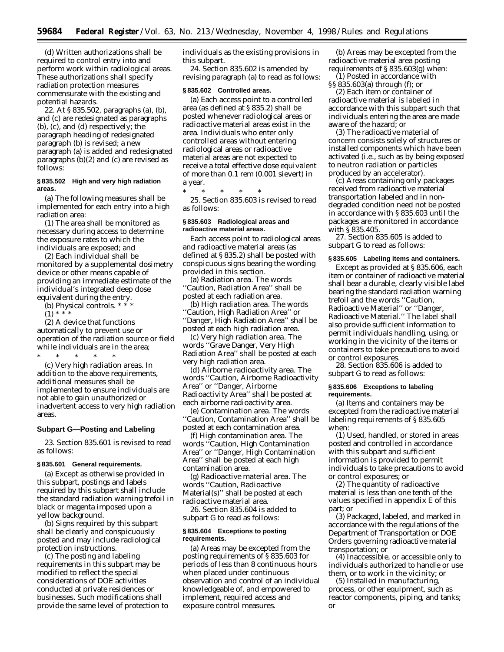(d) Written authorizations shall be required to control entry into and perform work within radiological areas. These authorizations shall specify radiation protection measures commensurate with the existing and potential hazards.

22. At § 835.502, paragraphs (a), (b), and (c) are redesignated as paragraphs (b), (c), and (d) respectively; the paragraph heading of redesignated paragraph (b) is revised; a new paragraph (a) is added and redesignated paragraphs (b)(2) and (c) are revised as follows:

# **§ 835.502 High and very high radiation areas.**

(a) The following measures shall be implemented for each entry into a high radiation area:

(1) The area shall be monitored as necessary during access to determine the exposure rates to which the individuals are exposed; and

(2) Each individual shall be monitored by a supplemental dosimetry device or other means capable of providing an immediate estimate of the individual's integrated deep dose equivalent during the entry.

(b) *Physical controls.* \* \* \*

 $(1) * * *$ 

(2) A device that functions automatically to prevent use or operation of the radiation source or field while individuals are in the area;

\* \* \* \* \* (c) *Very high radiation areas.* In addition to the above requirements, additional measures shall be implemented to ensure individuals are not able to gain unauthorized or inadvertent access to very high radiation areas.

# **Subpart G—Posting and Labeling**

23. Section 835.601 is revised to read as follows:

#### **§ 835.601 General requirements.**

(a) Except as otherwise provided in this subpart, postings and labels required by this subpart shall include the standard radiation warning trefoil in black or magenta imposed upon a yellow background.

(b) Signs required by this subpart shall be clearly and conspicuously posted and may include radiological protection instructions.

(c) The posting and labeling requirements in this subpart may be modified to reflect the special considerations of DOE activities conducted at private residences or businesses. Such modifications shall provide the same level of protection to individuals as the existing provisions in this subpart.

24. Section 835.602 is amended by revising paragraph (a) to read as follows:

#### **§ 835.602 Controlled areas.**

(a) Each access point to a controlled area (as defined at § 835.2) shall be posted whenever radiological areas or radioactive material areas exist in the area. Individuals who enter only controlled areas without entering radiological areas or radioactive material areas are not expected to receive a total effective dose equivalent of more than 0.1 rem (0.001 sievert) in a year.

\* \* \* \* \*

25. Section 835.603 is revised to read as follows:

### **§ 835.603 Radiological areas and radioactive material areas.**

Each access point to radiological areas and radioactive material areas (as defined at § 835.2) shall be posted with conspicuous signs bearing the wording provided in this section.

(a) *Radiation area.* The words ''Caution, Radiation Area'' shall be posted at each radiation area.

(b) *High radiation area.* The words 'Caution, High Radiation Area" or ''Danger, High Radiation Area'' shall be posted at each high radiation area.

(c) *Very high radiation area.* The words ''Grave Danger, Very High Radiation Area'' shall be posted at each very high radiation area.

(d) *Airborne radioactivity area.* The words ''Caution, Airborne Radioactivity Area'' or ''Danger, Airborne Radioactivity Area'' shall be posted at each airborne radioactivity area.

(e) *Contamination area.* The words ''Caution, Contamination Area'' shall be posted at each contamination area.

(f) *High contamination area.* The words ''Caution, High Contamination Area'' or ''Danger, High Contamination Area'' shall be posted at each high contamination area.

(g) *Radioactive material area.* The words ''Caution, Radioactive Material(s)'' shall be posted at each radioactive material area.

26. Section 835.604 is added to subpart G to read as follows:

#### **§ 835.604 Exceptions to posting requirements.**

(a) Areas may be excepted from the posting requirements of § 835.603 for periods of less than 8 continuous hours when placed under continuous observation and control of an individual knowledgeable of, and empowered to implement, required access and exposure control measures.

(b) Areas may be excepted from the radioactive material area posting requirements of § 835.603(g) when:

(1) Posted in accordance with §§ 835.603(a) through (f); or

(2) Each item or container of radioactive material is labeled in accordance with this subpart such that individuals entering the area are made aware of the hazard; or

(3) The radioactive material of concern consists solely of structures or installed components which have been activated (i.e., such as by being exposed to neutron radiation or particles produced by an accelerator).

(c) Areas containing only packages received from radioactive material transportation labeled and in nondegraded condition need not be posted in accordance with § 835.603 until the packages are monitored in accordance with § 835.405.

27. Section 835.605 is added to subpart G to read as follows:

# **§ 835.605 Labeling items and containers.**

Except as provided at § 835.606, each item or container of radioactive material shall bear a durable, clearly visible label bearing the standard radiation warning trefoil and the words ''Caution, Radioactive Material'' or ''Danger, Radioactive Material.'' The label shall also provide sufficient information to permit individuals handling, using, or working in the vicinity of the items or containers to take precautions to avoid or control exposures.

28. Section 835.606 is added to subpart G to read as follows:

### **§ 835.606 Exceptions to labeling requirements.**

(a) Items and containers may be excepted from the radioactive material labeling requirements of § 835.605 when:

(1) Used, handled, or stored in areas posted and controlled in accordance with this subpart and sufficient information is provided to permit individuals to take precautions to avoid or control exposures; or

(2) The quantity of radioactive material is less than one tenth of the values specified in appendix E of this part; or

(3) Packaged, labeled, and marked in accordance with the regulations of the Department of Transportation or DOE Orders governing radioactive material transportation; or

(4) Inaccessible, or accessible only to individuals authorized to handle or use them, or to work in the vicinity; or

(5) Installed in manufacturing, process, or other equipment, such as reactor components, piping, and tanks; or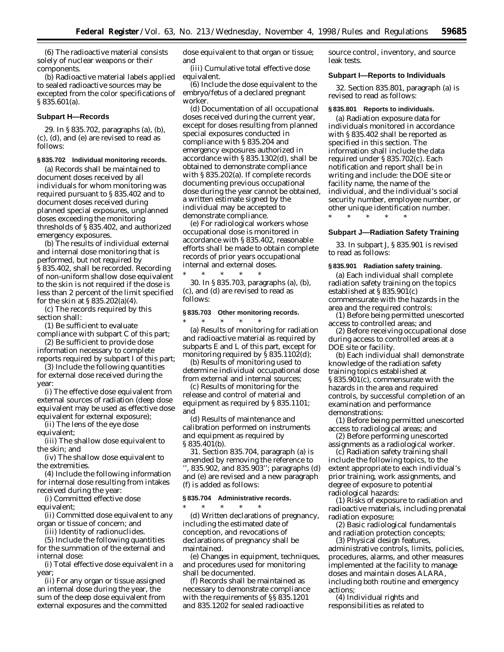(6) The radioactive material consists solely of nuclear weapons or their components.

(b) Radioactive material labels applied to sealed radioactive sources may be excepted from the color specifications of § 835.601(a).

### **Subpart H—Records**

29. In § 835.702, paragraphs (a), (b), (c), (d), and (e) are revised to read as follows:

#### **§ 835.702 Individual monitoring records.**

(a) Records shall be maintained to document doses received by all individuals for whom monitoring was required pursuant to § 835.402 and to document doses received during planned special exposures, unplanned doses exceeding the monitoring thresholds of § 835.402, and authorized emergency exposures.

(b) The results of individual external and internal dose monitoring that is performed, but not required by § 835.402, shall be recorded. Recording of non-uniform shallow dose equivalent to the skin is not required if the dose is less than 2 percent of the limit specified for the skin at § 835.202(a)(4).

(c) The records required by this section shall:

(1) Be sufficient to evaluate

compliance with subpart C of this part; (2) Be sufficient to provide dose

information necessary to complete reports required by subpart I of this part;

(3) Include the following quantities for external dose received during the year:

(i) The effective dose equivalent from external sources of radiation (deep dose equivalent may be used as effective dose equivalent for external exposure);

(ii) The lens of the eye dose equivalent;

(iii) The shallow dose equivalent to the skin; and

(iv) The shallow dose equivalent to the extremities.

(4) Include the following information for internal dose resulting from intakes received during the year:

(i) Committed effective dose equivalent;

(ii) Committed dose equivalent to any organ or tissue of concern; and

(iii) Identity of radionuclides.

(5) Include the following quantities for the summation of the external and internal dose:

(i) Total effective dose equivalent in a year;

(ii) For any organ or tissue assigned an internal dose during the year, the sum of the deep dose equivalent from external exposures and the committed dose equivalent to that organ or tissue; and

(iii) Cumulative total effective dose equivalent.

(6) Include the dose equivalent to the embryo/fetus of a declared pregnant worker.

(d) Documentation of all occupational doses received during the current year, except for doses resulting from planned special exposures conducted in compliance with § 835.204 and emergency exposures authorized in accordance with § 835.1302(d), shall be obtained to demonstrate compliance with § 835.202(a). If complete records documenting previous occupational dose during the year cannot be obtained, a written estimate signed by the individual may be accepted to demonstrate compliance.

(e) For radiological workers whose occupational dose is monitored in accordance with § 835.402, reasonable efforts shall be made to obtain complete records of prior years occupational internal and external doses.

\* \* \* \* \* 30. In § 835.703, paragraphs (a), (b), (c), and (d) are revised to read as follows:

### **§ 835.703 Other monitoring records.**

\* \* \* \* \* (a) Results of monitoring for radiation and radioactive material as required by subparts E and L of this part, except for monitoring required by  $\bar{S}$  835.1102(d);

(b) Results of monitoring used to determine individual occupational dose from external and internal sources;

(c) Results of monitoring for the release and control of material and equipment as required by § 835.1101; and

(d) Results of maintenance and calibration performed on instruments and equipment as required by § 835.401(b).

31. Section 835.704, paragraph (a) is amended by removing the reference to '', 835.902, and 835.903''; paragraphs (d) and (e) are revised and a new paragraph (f) is added as follows:

### **§ 835.704 Administrative records.**

\* \* \* \* \* (d) Written declarations of pregnancy, including the estimated date of conception, and revocations of declarations of pregnancy shall be maintained.

(e) Changes in equipment, techniques, and procedures used for monitoring shall be documented.

(f) Records shall be maintained as necessary to demonstrate compliance with the requirements of §§ 835.1201 and 835.1202 for sealed radioactive

source control, inventory, and source leak tests.

#### **Subpart I—Reports to Individuals**

32. Section 835.801, paragraph (a) is revised to read as follows:

#### **§ 835.801 Reports to individuals.**

(a) Radiation exposure data for individuals monitored in accordance with § 835.402 shall be reported as specified in this section. The information shall include the data required under § 835.702(c). Each notification and report shall be in writing and include: the DOE site or facility name, the name of the individual, and the individual's social security number, employee number, or other unique identification number. \* \* \* \* \*

#### **Subpart J—Radiation Safety Training**

33. In subpart J, § 835.901 is revised to read as follows:

### **§ 835.901 Radiation safety training.**

(a) Each individual shall complete radiation safety training on the topics established at § 835.901(c) commensurate with the hazards in the area and the required controls:

(1) Before being permitted unescorted access to controlled areas; and

(2) Before receiving occupational dose during access to controlled areas at a DOE site or facility.

(b) Each individual shall demonstrate knowledge of the radiation safety training topics established at § 835.901(c), commensurate with the hazards in the area and required controls, by successful completion of an examination and performance demonstrations:

(1) Before being permitted unescorted access to radiological areas; and

(2) Before performing unescorted assignments as a radiological worker.

(c) Radiation safety training shall include the following topics, to the extent appropriate to each individual's prior training, work assignments, and degree of exposure to potential radiological hazards:

(1) Risks of exposure to radiation and radioactive materials, including prenatal radiation exposure;

(2) Basic radiological fundamentals and radiation protection concepts;

(3) Physical design features, administrative controls, limits, policies, procedures, alarms, and other measures implemented at the facility to manage doses and maintain doses ALARA, including both routine and emergency actions;

(4) Individual rights and responsibilities as related to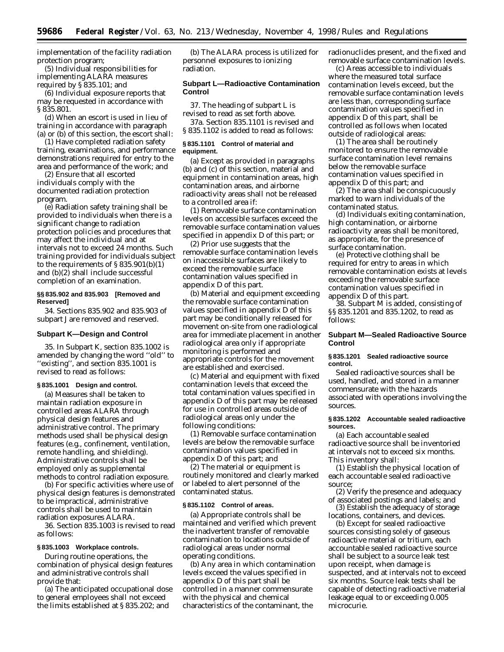implementation of the facility radiation protection program;

(5) Individual responsibilities for implementing ALARA measures required by § 835.101; and

(6) Individual exposure reports that may be requested in accordance with § 835.801.

(d) When an escort is used in lieu of training in accordance with paragraph (a) or (b) of this section, the escort shall:

(1) Have completed radiation safety training, examinations, and performance demonstrations required for entry to the area and performance of the work; and

(2) Ensure that all escorted individuals comply with the documented radiation protection program.

(e) Radiation safety training shall be provided to individuals when there is a significant change to radiation protection policies and procedures that may affect the individual and at intervals not to exceed 24 months. Such training provided for individuals subject to the requirements of  $\S 835.901(b)(1)$ and (b)(2) shall include successful completion of an examination.

### **§§ 835.902 and 835.903 [Removed and Reserved]**

34. Sections 835.902 and 835.903 of subpart J are removed and reserved.

#### **Subpart K—Design and Control**

35. In Subpart K, section 835.1002 is amended by changing the word ''old'' to ''existing'', and section 835.1001 is revised to read as follows:

### **§ 835.1001 Design and control.**

(a) Measures shall be taken to maintain radiation exposure in controlled areas ALARA through physical design features and administrative control. The primary methods used shall be physical design features (e.g., confinement, ventilation, remote handling, and shielding). Administrative controls shall be employed only as supplemental methods to control radiation exposure.

(b) For specific activities where use of physical design features is demonstrated to be impractical, administrative controls shall be used to maintain radiation exposures ALARA.

36. Section 835.1003 is revised to read as follows:

### **§ 835.1003 Workplace controls.**

During routine operations, the combination of physical design features and administrative controls shall provide that:

(a) The anticipated occupational dose to general employees shall not exceed the limits established at § 835.202; and

(b) The ALARA process is utilized for personnel exposures to ionizing radiation.

#### **Subpart L—Radioactive Contamination Control**

37. The heading of subpart L is revised to read as set forth above.

37a. Section 835.1101 is revised and § 835.1102 is added to read as follows:

# **§ 835.1101 Control of material and equipment.**

(a) Except as provided in paragraphs (b) and (c) of this section, material and equipment in contamination areas, high contamination areas, and airborne radioactivity areas shall not be released to a controlled area if:

(1) Removable surface contamination levels on accessible surfaces exceed the removable surface contamination values specified in appendix D of this part; or

(2) Prior use suggests that the removable surface contamination levels on inaccessible surfaces are likely to exceed the removable surface contamination values specified in appendix D of this part.

(b) Material and equipment exceeding the removable surface contamination values specified in appendix D of this part may be conditionally released for movement on-site from one radiological area for immediate placement in another radiological area only if appropriate monitoring is performed and appropriate controls for the movement are established and exercised.

(c) Material and equipment with fixed contamination levels that exceed the total contamination values specified in appendix D of this part may be released for use in controlled areas outside of radiological areas only under the following conditions:

(1) Removable surface contamination levels are below the removable surface contamination values specified in appendix D of this part; and

(2) The material or equipment is routinely monitored and clearly marked or labeled to alert personnel of the contaminated status.

#### **§ 835.1102 Control of areas.**

(a) Appropriate controls shall be maintained and verified which prevent the inadvertent transfer of removable contamination to locations outside of radiological areas under normal operating conditions.

(b) Any area in which contamination levels exceed the values specified in appendix D of this part shall be controlled in a manner commensurate with the physical and chemical characteristics of the contaminant, the

radionuclides present, and the fixed and removable surface contamination levels.

(c) Areas accessible to individuals where the measured total surface contamination levels exceed, but the removable surface contamination levels are less than, corresponding surface contamination values specified in appendix D of this part, shall be controlled as follows when located outside of radiological areas:

(1) The area shall be routinely monitored to ensure the removable surface contamination level remains below the removable surface contamination values specified in appendix D of this part; and

(2) The area shall be conspicuously marked to warn individuals of the contaminated status.

(d) Individuals exiting contamination, high contamination, or airborne radioactivity areas shall be monitored, as appropriate, for the presence of surface contamination.

(e) Protective clothing shall be required for entry to areas in which removable contamination exists at levels exceeding the removable surface contamination values specified in appendix D of this part.

38. Subpart M is added, consisting of §§ 835.1201 and 835.1202, to read as follows:

# **Subpart M—Sealed Radioactive Source Control**

### **§ 835.1201 Sealed radioactive source control.**

Sealed radioactive sources shall be used, handled, and stored in a manner commensurate with the hazards associated with operations involving the sources.

### **§ 835.1202 Accountable sealed radioactive sources.**

(a) Each accountable sealed radioactive source shall be inventoried at intervals not to exceed six months. This inventory shall:

(1) Establish the physical location of each accountable sealed radioactive source;

(2) Verify the presence and adequacy of associated postings and labels; and

(3) Establish the adequacy of storage locations, containers, and devices.

(b) Except for sealed radioactive sources consisting solely of gaseous radioactive material or tritium, each accountable sealed radioactive source shall be subject to a source leak test upon receipt, when damage is suspected, and at intervals not to exceed six months. Source leak tests shall be capable of detecting radioactive material leakage equal to or exceeding 0.005 microcurie.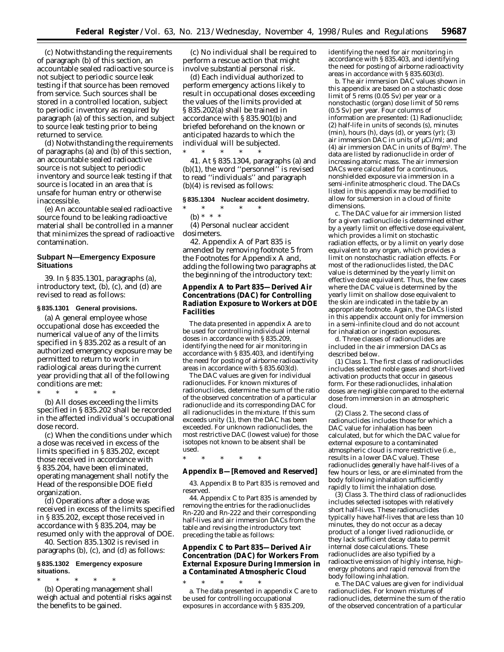(c) Notwithstanding the requirements of paragraph (b) of this section, an accountable sealed radioactive source is not subject to periodic source leak testing if that source has been removed from service. Such sources shall be stored in a controlled location, subject to periodic inventory as required by paragraph (a) of this section, and subject to source leak testing prior to being returned to service.

(d) Notwithstanding the requirements of paragraphs (a) and (b) of this section, an accountable sealed radioactive source is not subject to periodic inventory and source leak testing if that source is located in an area that is unsafe for human entry or otherwise inaccessible.

(e) An accountable sealed radioactive source found to be leaking radioactive material shall be controlled in a manner that minimizes the spread of radioactive contamination.

# **Subpart N—Emergency Exposure Situations**

39. In § 835.1301, paragraphs (a), introductory text, (b), (c), and (d) are revised to read as follows:

# **§ 835.1301 General provisions.**

(a) A general employee whose occupational dose has exceeded the numerical value of any of the limits specified in § 835.202 as a result of an authorized emergency exposure may be permitted to return to work in radiological areas during the current year providing that all of the following conditions are met:

\* \* \* \* \*

(b) All doses exceeding the limits specified in § 835.202 shall be recorded in the affected individual's occupational dose record.

(c) When the conditions under which a dose was received in excess of the limits specified in § 835.202, except those received in accordance with § 835.204, have been eliminated, operating management shall notify the Head of the responsible DOE field organization.

(d) Operations after a dose was received in excess of the limits specified in § 835.202, except those received in accordance with § 835.204, may be resumed only with the approval of DOE.

40. Section 835.1302 is revised in paragraphs (b), (c), and (d) as follows:

## **§ 835.1302 Emergency exposure situations.**

\* \* \* \* \* (b) Operating management shall weigh actual and potential risks against the benefits to be gained.

(c) No individual shall be required to perform a rescue action that might involve substantial personal risk.

(d) Each individual authorized to perform emergency actions likely to result in occupational doses exceeding the values of the limits provided at § 835.202(a) shall be trained in accordance with § 835.901(b) and briefed beforehand on the known or anticipated hazards to which the individual will be subjected. \* \* \* \* \*

41. At § 835.1304, paragraphs (a) and (b)(1), the word ''personnel'' is revised to read ''individuals'' and paragraph (b)(4) is revised as follows:

# **§ 835.1304 Nuclear accident dosimetry.**

\* \* \* \* \* (b) \* \* \*

(4) Personal nuclear accident dosimeters.

42. Appendix A of Part 835 is amended by removing footnote 5 from the Footnotes for Appendix A and, adding the following two paragraphs at the beginning of the introductory text:

# **Appendix A to Part 835—Derived Air Concentrations (DAC) for Controlling Radiation Exposure to Workers at DOE Facilities**

The data presented in appendix A are to be used for controlling individual internal doses in accordance with § 835.209, identifying the need for air monitoring in accordance with § 835.403, and identifying the need for posting of airborne radioactivity areas in accordance with § 835.603(d).

The DAC values are given for individual radionuclides. For known mixtures of radionuclides, determine the sum of the ratio of the observed concentration of a particular radionuclide and its corresponding DAC for all radionuclides in the mixture. If this sum exceeds unity (1), then the DAC has been exceeded. For unknown radionuclides, the most restrictive DAC (lowest value) for those isotopes not known to be absent shall be used.

\* \* \* \* \*

### **Appendix B—[Removed and Reserved]**

43. Appendix B to Part 835 is removed and reserved.

44. Appendix C to Part 835 is amended by removing the entries for the radionuclides Rn-220 and Rn-222 and their corresponding half-lives and air immersion DACs from the table and revising the introductory text preceding the table as follows:

# **Appendix C to Part 835—Derived Air Concentration (DAC) for Workers From External Exposure During Immersion in a Contaminated Atmospheric Cloud**

\* \* \* \* \* a. The data presented in appendix C are to be used for controlling occupational exposures in accordance with § 835.209,

identifying the need for air monitoring in accordance with § 835.403, and identifying the need for posting of airborne radioactivity areas in accordance with § 835.603(d).

b. The air immersion DAC values shown in this appendix are based on a stochastic dose limit of 5 rems (0.05 Sv) per year or a nonstochastic (organ) dose limit of 50 rems (0.5 Sv) per year. Four columns of information are presented: (1) Radionuclide; (2) half-life in units of seconds (s), minutes  $(\text{min})$ , hours  $(h)$ , days  $(d)$ , or years  $(\text{yr})$ ;  $(3)$ air immersion DAC in units of µCi/ml; and (4) air immersion DAC in units of Bq/m3. The data are listed by radionuclide in order of increasing atomic mass. The air immersion DACs were calculated for a continuous, nonshielded exposure via immersion in a semi-infinite atmospheric cloud. The DACs listed in this appendix may be modified to allow for submersion in a cloud of finite dimensions.

c. The DAC value for air immersion listed for a given radionuclide is determined either by a yearly limit on effective dose equivalent, which provides a limit on stochastic radiation effects, or by a limit on yearly dose equivalent to any organ, which provides a limit on nonstochastic radiation effects. For most of the radionuclides listed, the DAC value is determined by the yearly limit on effective dose equivalent. Thus, the few cases where the DAC value is determined by the yearly limit on shallow dose equivalent to the skin are indicated in the table by an appropriate footnote. Again, the DACs listed in this appendix account only for immersion in a semi-infinite cloud and do not account for inhalation or ingestion exposures.

d. Three classes of radionuclides are included in the air immersion DACs as described below.

(1) *Class 1.* The first class of radionuclides includes selected noble gases and short-lived activation products that occur in gaseous form. For these radionuclides, inhalation doses are negligible compared to the external dose from immersion in an atmospheric cloud.

(2) *Class 2.* The second class of radionuclides includes those for which a DAC value for inhalation has been calculated, but for which the DAC value for external exposure to a contaminated atmospheric cloud is more restrictive (i.e., results in a lower DAC value). These radionuclides generally have half-lives of a few hours or less, or are eliminated from the body following inhalation sufficiently rapidly to limit the inhalation dose.

(3) *Class 3.* The third class of radionuclides includes selected isotopes with relatively short half-lives. These radionuclides typically have half-lives that are less than 10 minutes, they do not occur as a decay product of a longer lived radionuclide, or they lack sufficient decay data to permit internal dose calculations. These radionuclides are also typified by a radioactive emission of highly intense, highenergy photons and rapid removal from the body following inhalation.

e. The DAC values are given for individual radionuclides. For known mixtures of radionuclides, determine the sum of the ratio of the observed concentration of a particular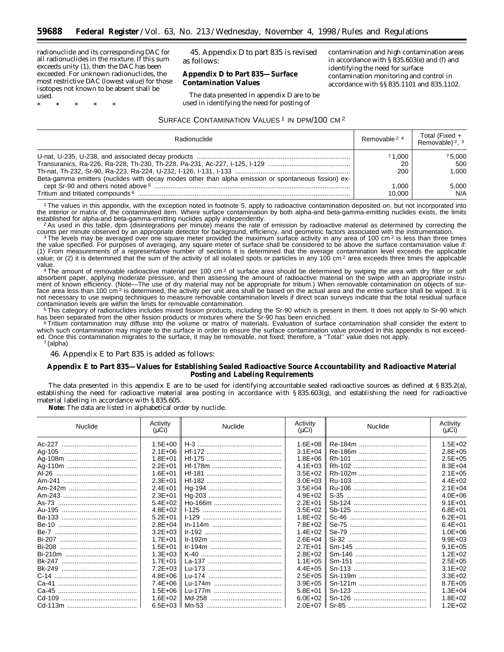radionuclide and its corresponding DAC for all radionuclides in the mixture. If this sum exceeds unity (1), then the DAC has been exceeded. For unknown radionuclides, the most restrictive DAC (lowest value) for those isotopes not known to be absent shall be used.

\* \* \* \* \*

45. Appendix D to part 835 is revised as follows:

# **Appendix D to Part 835—Surface Contamination Values**

The data presented in appendix D are to be used in identifying the need for posting of

contamination and high contamination areas in accordance with § 835.603(e) and (f) and identifying the need for surface contamination monitoring and control in accordance with §§ 835.1101 and 835.1102.

# SURFACE CONTAMINATION VALUES<sup>1</sup> IN DPM/100 CM<sup>2</sup>

| Radionuclide                                                                                         | Removable 2 4       | Total (Fixed +<br>Removable) 2, 3 |
|------------------------------------------------------------------------------------------------------|---------------------|-----------------------------------|
| Beta-gamma emitters (nuclides with decay modes other than alpha emission or spontaneous fission) ex- | 71.000<br>20<br>200 | 75.000<br>500<br>1.000            |
| Tritium and tritiated compounds <sup>6</sup>                                                         | 1.000<br>10.000     | 5.000<br>N/A                      |

1The values in this appendix, with the exception noted in footnote 5, apply to radioactive contamination deposited on, but not incorporated into the interior or matrix of, the contaminated item. Where surface contamination by both alpha-and beta-gamma-emitting nuclides exists, the limits<br>established for alpha-and beta-gamma-emitting nuclides apply independently.

established for alpha-and beta-gamma-emitting nucleical multiply independent of emission by radioactive material as determined by correcting the counts per minute observed by an appropriate detector for background, efficie

3The levels may be averaged over one square meter provided the maximum surface activity in any area of 100 cm<sup>2</sup> is less than three times the value specified. For purposes of averaging, any square meter of surface shall be considered to be above the surface contamination value if: (1) From measurements of a representative number of sections it is determined that the average contamination level exceeds the applicable value; or (2) it is determined that the sum of the activity of all isolated spots or particles in any 100 cm<sup>2</sup> area exceeds three times the applicable

value.<br>4The amount of removable radioactive material per 100 cm<sup>2</sup> of surface area should be determined by swiping the area with dry filter or soft absorbent paper, applying moderate pressure, and then assessing the amount of radioactive material on the swipe with an appropriate instrument of known efficiency. (Note—The use of dry material may not be appropriate for tritium.) When removable contamination on objects of surface area less than 100 cm<sup>2</sup> is determined, the activity per unit area shall be based on the actual area and the entire surface shall be wiped. It is not necessary to use swiping techniques to measure removable contamination levels if direct scan surveys indicate that the total residual surface<br>contamination levels are within the limits for removable contamination.

contamination levels are within the limits for removable contamination.<br><sup>5</sup>This category of radionuclides includes mixed fission products, including the Sr-90 which is present in them. It does not apply to Sr-90 which has been separated from the other fission products or mixtures where the Sr-90 has been enriched.<br><sup>6</sup> Tritium contamination may diffuse into the volume or matrix of materials. Evaluation of surface contamination shall cons

which such contamination may migrate to the surface in order to ensure the surface contamination value provided in this appendix is not exceeded. Once this contamination migrates to the surface, it may be removable, not fixed; therefore, a "Total" value does not apply.<br>7 (alpha)

46. Appendix E to Part 835 is added as follows:

# **Appendix E to Part 835—Values for Establishing Sealed Radioactive Source Accountability and Radioactive Material Posting and Labeling Requirements**

The data presented in this appendix E are to be used for identifying accountable sealed radioactive sources as defined at § 835.2(a), establishing the need for radioactive material area posting in accordance with § 835.603(g), and establishing the need for radioactive material labeling in accordance with § 835.605.

**Note:** The data are listed in alphabetical order by nuclide.

| Nuclide       | Activity<br>$(\mu Ci)$ | Nuclide | Activity<br>$(\mu Ci)$ | Nuclide | Activity<br>$(\mu Ci)$ |
|---------------|------------------------|---------|------------------------|---------|------------------------|
|               | $1.5E + 00$            |         | $1.6E + 08$            |         | $1.5E + 02$            |
|               | $2.1E + 06$            |         | $3.1E + 04$            |         | $2.8E + 05$            |
|               | $1.8E + 01$            |         | $1.8E + 06$            |         | $2.5E + 05$            |
|               | $2.2E + 01$            |         | $4.1E + 03$            |         | $8.3E + 04$            |
|               | $1.6E + 01$            |         | $3.5E + 02$            |         | $2.1E + 0.5$           |
|               | $2.3E + 01$            |         | $3.0E + 03$            |         | $4.4E + 02$            |
|               | $2.4E + 01$            |         | $3.5E + 04$            |         | $2.1E + 04$            |
|               | $2.3E + 01$            |         | $4.9E + 02$            |         | $4.0E + 06$            |
|               | $5.4E + 02$            |         | $2.2E + 01$            |         | $9.1E + 01$            |
|               | $4.8E + 02$            |         | $3.5E + 02$            |         | $6.8E + 01$            |
|               | $5.2E + 01$            |         | $1.8E + 02$            |         | $6.2E + 01$            |
|               | $2.8E + 04$            |         | $7.8E + 02$            |         | $6.4E + 01$            |
|               | $3.2E + 03$            |         | $1.4E + 02$            |         | $1.0E + 06$            |
|               | $1.7E + 01$            |         | $2.6E + 04$            |         | $9.9E + 03$            |
|               | $1.5E + 01$            |         | $2.7E + 01$            |         | $9.1E + 0.5$           |
|               | $1.3E + 03$            |         | $2.8E + 02$            |         | $1.2E + 02$            |
| <b>Bk-247</b> | $1.7E + 01$            |         | $1.1E + 0.5$           |         | $2.5E + 05$            |
|               | $7.2E + 03$            |         | $4.4E + 05$            |         | $3.1E + 02$            |
|               | $4.8E + 06$            |         | $2.5E + 0.5$           |         | $3.3E + 02$            |
|               | $7.4E + 06$            |         | $3.9E + 05$            |         | $8.7E + 05$            |
|               | $1.5E + 06$            |         | $5.8E + 01$            |         | $1.3E + 04$            |
|               | $1.6E + 02$            |         | $6.0E + 02$            |         | $1.8E + 02$            |
|               | 6.5E+03 $\parallel$    |         | $2.0E + 07$            |         | $1.2E + 02$            |